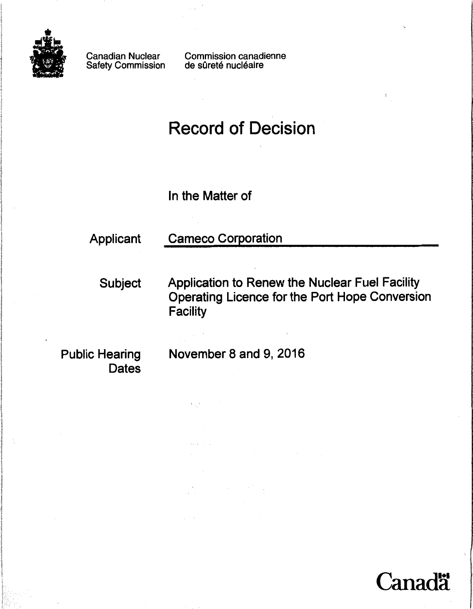

Canadian Nuclear Safety Commission Commission canadienne de sûreté nucléaire

# Record of Decision

In the Matter of

# Applicant Cameco Corporation

Subject Application to Renew the Nuclear Fuel Facility Operating Licence for the Port Hope Conversion **Facility** 

**Dates** 

Public Hearing November 8 and 9, 2016

 $t<\gamma$ 

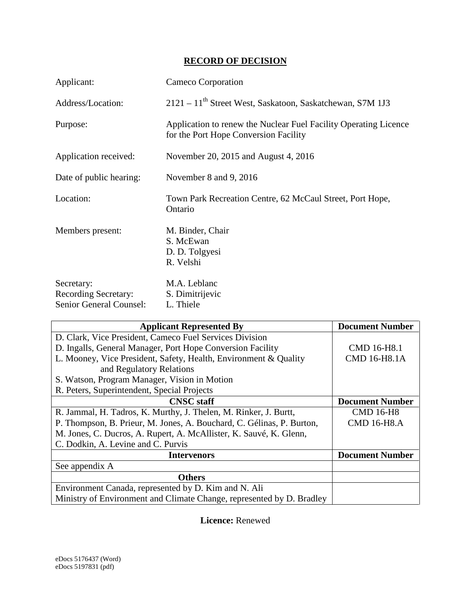### **RECORD OF DECISION**

| Applicant:                                                                  | Cameco Corporation                                                                                        |
|-----------------------------------------------------------------------------|-----------------------------------------------------------------------------------------------------------|
| Address/Location:                                                           | 2121 – 11 <sup>th</sup> Street West, Saskatoon, Saskatchewan, S7M 1J3                                     |
| Purpose:                                                                    | Application to renew the Nuclear Fuel Facility Operating Licence<br>for the Port Hope Conversion Facility |
| Application received:                                                       | November 20, 2015 and August 4, 2016                                                                      |
| Date of public hearing:                                                     | November 8 and 9, 2016                                                                                    |
| Location:                                                                   | Town Park Recreation Centre, 62 McCaul Street, Port Hope,<br>Ontario                                      |
| Members present:                                                            | M. Binder, Chair<br>S. McEwan<br>D. D. Tolgyesi<br>R. Velshi                                              |
| Secretary:<br><b>Recording Secretary:</b><br><b>Senior General Counsel:</b> | M.A. Leblanc<br>S. Dimitrijevic<br>L. Thiele                                                              |

| <b>Applicant Represented By</b>                                       | <b>Document Number</b> |
|-----------------------------------------------------------------------|------------------------|
| D. Clark, Vice President, Cameco Fuel Services Division               |                        |
| D. Ingalls, General Manager, Port Hope Conversion Facility            | <b>CMD 16-H8.1</b>     |
| L. Mooney, Vice President, Safety, Health, Environment & Quality      | <b>CMD 16-H8.1A</b>    |
| and Regulatory Relations                                              |                        |
| S. Watson, Program Manager, Vision in Motion                          |                        |
| R. Peters, Superintendent, Special Projects                           |                        |
| <b>CNSC</b> staff                                                     | <b>Document Number</b> |
| R. Jammal, H. Tadros, K. Murthy, J. Thelen, M. Rinker, J. Burtt,      | <b>CMD 16-H8</b>       |
| P. Thompson, B. Prieur, M. Jones, A. Bouchard, C. Gélinas, P. Burton, | <b>CMD 16-H8.A</b>     |
| M. Jones, C. Ducros, A. Rupert, A. McAllister, K. Sauvé, K. Glenn,    |                        |
| C. Dodkin, A. Levine and C. Purvis                                    |                        |
| <b>Intervenors</b>                                                    | <b>Document Number</b> |
| See appendix A                                                        |                        |
| <b>Others</b>                                                         |                        |
| Environment Canada, represented by D. Kim and N. Ali                  |                        |
| Ministry of Environment and Climate Change, represented by D. Bradley |                        |

**Licence:** Renewed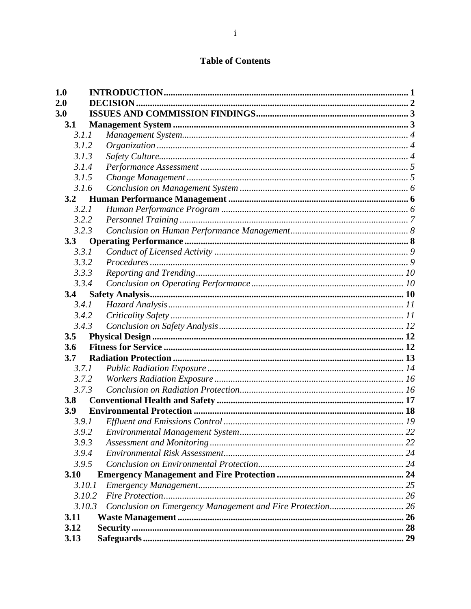## **Table of Contents**

| <b>1.0</b> |                  |  |
|------------|------------------|--|
| 2.0        | <b>DECISION.</b> |  |
| 3.0        |                  |  |
| 3.1        |                  |  |
| 3.1.1      |                  |  |
| 3.1.2      |                  |  |
| 3.1.3      |                  |  |
| 3.1.4      |                  |  |
| 3.1.5      |                  |  |
| 3.1.6      |                  |  |
| 3.2        |                  |  |
| 3.2.1      |                  |  |
| 3.2.2      |                  |  |
| 3.2.3      |                  |  |
| 3.3        |                  |  |
| 3.3.1      |                  |  |
| 3.3.2      |                  |  |
| 3.3.3      |                  |  |
| 3.3.4      |                  |  |
| 3.4        |                  |  |
| 3.4.1      |                  |  |
| 3.4.2      |                  |  |
| 3.4.3      |                  |  |
| 3.5        |                  |  |
| 3.6        |                  |  |
| 3.7        |                  |  |
| 3.7.1      |                  |  |
| 3.7.2      |                  |  |
| 3.7.3      |                  |  |
| 3.8        |                  |  |
| <b>3.9</b> |                  |  |
| 3.9.1      |                  |  |
|            | 3.9.2            |  |
| 3.9.3      |                  |  |
| 3.9.4      |                  |  |
| 3.9.5      |                  |  |
| 3.10       |                  |  |
|            | 3.10.1           |  |
|            | 3.10.2           |  |
|            | 3.10.3           |  |
| 3.11       |                  |  |
| 3.12       |                  |  |
| 3.13       |                  |  |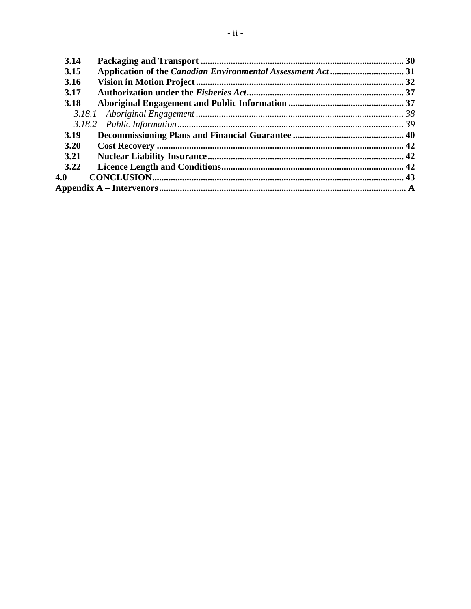| 3.14 |  |
|------|--|
| 3.15 |  |
| 3.16 |  |
| 3.17 |  |
| 3.18 |  |
|      |  |
|      |  |
| 3.19 |  |
| 3.20 |  |
| 3.21 |  |
| 3.22 |  |
| 4.0  |  |
|      |  |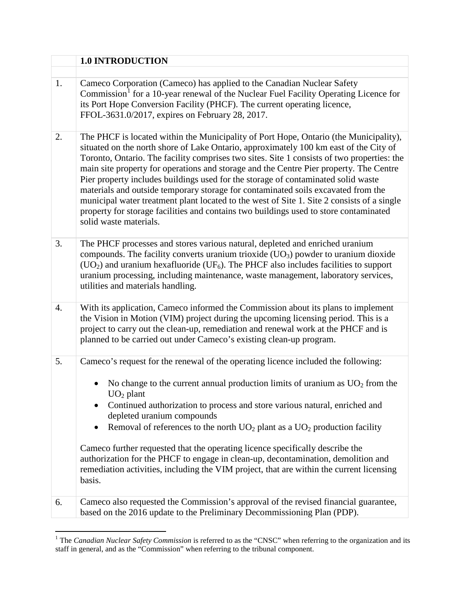<span id="page-6-0"></span>

|    | <b>1.0 INTRODUCTION</b>                                                                                                                                                                                                                                                                                                                                                                                                                                                                                                                                                                                                                                                                                                                                           |
|----|-------------------------------------------------------------------------------------------------------------------------------------------------------------------------------------------------------------------------------------------------------------------------------------------------------------------------------------------------------------------------------------------------------------------------------------------------------------------------------------------------------------------------------------------------------------------------------------------------------------------------------------------------------------------------------------------------------------------------------------------------------------------|
|    |                                                                                                                                                                                                                                                                                                                                                                                                                                                                                                                                                                                                                                                                                                                                                                   |
| 1. | Cameco Corporation (Cameco) has applied to the Canadian Nuclear Safety<br>Commission <sup>1</sup> for a 10-year renewal of the Nuclear Fuel Facility Operating Licence for<br>its Port Hope Conversion Facility (PHCF). The current operating licence,<br>FFOL-3631.0/2017, expires on February 28, 2017.                                                                                                                                                                                                                                                                                                                                                                                                                                                         |
| 2. | The PHCF is located within the Municipality of Port Hope, Ontario (the Municipality),<br>situated on the north shore of Lake Ontario, approximately 100 km east of the City of<br>Toronto, Ontario. The facility comprises two sites. Site 1 consists of two properties: the<br>main site property for operations and storage and the Centre Pier property. The Centre<br>Pier property includes buildings used for the storage of contaminated solid waste<br>materials and outside temporary storage for contaminated soils excavated from the<br>municipal water treatment plant located to the west of Site 1. Site 2 consists of a single<br>property for storage facilities and contains two buildings used to store contaminated<br>solid waste materials. |
| 3. | The PHCF processes and stores various natural, depleted and enriched uranium<br>compounds. The facility converts uranium trioxide $(UO3)$ powder to uranium dioxide<br>$(UO2)$ and uranium hexafluoride (UF <sub>6</sub> ). The PHCF also includes facilities to support<br>uranium processing, including maintenance, waste management, laboratory services,<br>utilities and materials handling.                                                                                                                                                                                                                                                                                                                                                                |
| 4. | With its application, Cameco informed the Commission about its plans to implement<br>the Vision in Motion (VIM) project during the upcoming licensing period. This is a<br>project to carry out the clean-up, remediation and renewal work at the PHCF and is<br>planned to be carried out under Cameco's existing clean-up program.                                                                                                                                                                                                                                                                                                                                                                                                                              |
| 5. | Cameco's request for the renewal of the operating licence included the following:                                                                                                                                                                                                                                                                                                                                                                                                                                                                                                                                                                                                                                                                                 |
|    | No change to the current annual production limits of uranium as $UO2$ from the<br>$UO2$ plant<br>Continued authorization to process and store various natural, enriched and                                                                                                                                                                                                                                                                                                                                                                                                                                                                                                                                                                                       |
|    | depleted uranium compounds<br>Removal of references to the north $UO_2$ plant as a $UO_2$ production facility                                                                                                                                                                                                                                                                                                                                                                                                                                                                                                                                                                                                                                                     |
|    |                                                                                                                                                                                                                                                                                                                                                                                                                                                                                                                                                                                                                                                                                                                                                                   |
|    | Cameco further requested that the operating licence specifically describe the<br>authorization for the PHCF to engage in clean-up, decontamination, demolition and<br>remediation activities, including the VIM project, that are within the current licensing<br>basis.                                                                                                                                                                                                                                                                                                                                                                                                                                                                                          |
| 6. | Cameco also requested the Commission's approval of the revised financial guarantee,<br>based on the 2016 update to the Preliminary Decommissioning Plan (PDP).                                                                                                                                                                                                                                                                                                                                                                                                                                                                                                                                                                                                    |

<span id="page-6-1"></span> $\overline{a}$ <sup>1</sup> The *Canadian Nuclear Safety Commission* is referred to as the "CNSC" when referring to the organization and its staff in general, and as the "Commission" when referring to the tribunal component.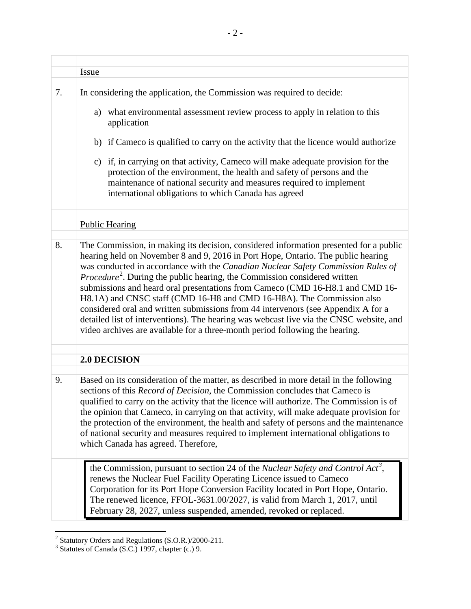|    | <u>Issue</u>                                                                                                                                                                                                                                                                                                                                                                                                                                                                                                                                                                                                                                                                                                                                                                            |
|----|-----------------------------------------------------------------------------------------------------------------------------------------------------------------------------------------------------------------------------------------------------------------------------------------------------------------------------------------------------------------------------------------------------------------------------------------------------------------------------------------------------------------------------------------------------------------------------------------------------------------------------------------------------------------------------------------------------------------------------------------------------------------------------------------|
| 7. | In considering the application, the Commission was required to decide:<br>a) what environmental assessment review process to apply in relation to this<br>application<br>b) if Cameco is qualified to carry on the activity that the licence would authorize<br>c) if, in carrying on that activity, Cameco will make adequate provision for the<br>protection of the environment, the health and safety of persons and the<br>maintenance of national security and measures required to implement<br>international obligations to which Canada has agreed                                                                                                                                                                                                                              |
|    |                                                                                                                                                                                                                                                                                                                                                                                                                                                                                                                                                                                                                                                                                                                                                                                         |
|    |                                                                                                                                                                                                                                                                                                                                                                                                                                                                                                                                                                                                                                                                                                                                                                                         |
|    | <b>Public Hearing</b>                                                                                                                                                                                                                                                                                                                                                                                                                                                                                                                                                                                                                                                                                                                                                                   |
| 8. | The Commission, in making its decision, considered information presented for a public<br>hearing held on November 8 and 9, 2016 in Port Hope, Ontario. The public hearing<br>was conducted in accordance with the Canadian Nuclear Safety Commission Rules of<br><i>Procedure</i> <sup>2</sup> . During the public hearing, the Commission considered written<br>submissions and heard oral presentations from Cameco (CMD 16-H8.1 and CMD 16-<br>H8.1A) and CNSC staff (CMD 16-H8 and CMD 16-H8A). The Commission also<br>considered oral and written submissions from 44 intervenors (see Appendix A for a<br>detailed list of interventions). The hearing was webcast live via the CNSC website, and<br>video archives are available for a three-month period following the hearing. |
|    | 2.0 DECISION                                                                                                                                                                                                                                                                                                                                                                                                                                                                                                                                                                                                                                                                                                                                                                            |
| 9. | Based on its consideration of the matter, as described in more detail in the following<br>sections of this <i>Record of Decision</i> , the Commission concludes that Cameco is<br>qualified to carry on the activity that the licence will authorize. The Commission is of<br>the opinion that Cameco, in carrying on that activity, will make adequate provision for<br>the protection of the environment, the health and safety of persons and the maintenance<br>of national security and measures required to implement international obligations to<br>which Canada has agreed. Therefore,                                                                                                                                                                                         |
|    | the Commission, pursuant to section 24 of the Nuclear Safety and Control Act <sup>3</sup> ,<br>renews the Nuclear Fuel Facility Operating Licence issued to Cameco<br>Corporation for its Port Hope Conversion Facility located in Port Hope, Ontario.<br>The renewed licence, FFOL-3631.00/2027, is valid from March 1, 2017, until<br>February 28, 2027, unless suspended, amended, revoked or replaced.                                                                                                                                                                                                                                                                                                                                                                              |

<span id="page-7-1"></span><sup>&</sup>lt;sup>2</sup> Statutory Orders and Regulations (S.O.R.)/2000-211.<br><sup>3</sup> Statutes of Canada (S.C.) 1997, chapter (c.) 9.

<span id="page-7-0"></span> $\overline{a}$ 

<span id="page-7-2"></span>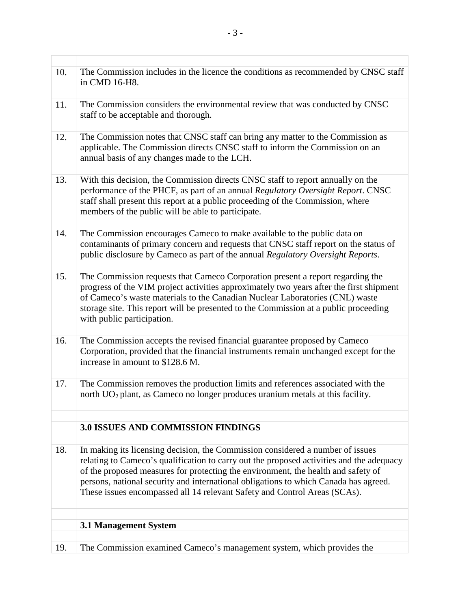<span id="page-8-1"></span><span id="page-8-0"></span>

| The Commission includes in the licence the conditions as recommended by CNSC staff<br>10.<br>in CMD 16-H8.                                                                                                                                                                                                                                                                                                                                  |  |
|---------------------------------------------------------------------------------------------------------------------------------------------------------------------------------------------------------------------------------------------------------------------------------------------------------------------------------------------------------------------------------------------------------------------------------------------|--|
| 11.<br>The Commission considers the environmental review that was conducted by CNSC<br>staff to be acceptable and thorough.                                                                                                                                                                                                                                                                                                                 |  |
| The Commission notes that CNSC staff can bring any matter to the Commission as<br>12.<br>applicable. The Commission directs CNSC staff to inform the Commission on an<br>annual basis of any changes made to the LCH.                                                                                                                                                                                                                       |  |
| With this decision, the Commission directs CNSC staff to report annually on the<br>13.<br>performance of the PHCF, as part of an annual Regulatory Oversight Report. CNSC<br>staff shall present this report at a public proceeding of the Commission, where<br>members of the public will be able to participate.                                                                                                                          |  |
| The Commission encourages Cameco to make available to the public data on<br>14.<br>contaminants of primary concern and requests that CNSC staff report on the status of<br>public disclosure by Cameco as part of the annual Regulatory Oversight Reports.                                                                                                                                                                                  |  |
| 15.<br>The Commission requests that Cameco Corporation present a report regarding the<br>progress of the VIM project activities approximately two years after the first shipment<br>of Cameco's waste materials to the Canadian Nuclear Laboratories (CNL) waste<br>storage site. This report will be presented to the Commission at a public proceeding<br>with public participation.                                                      |  |
| The Commission accepts the revised financial guarantee proposed by Cameco<br>16.<br>Corporation, provided that the financial instruments remain unchanged except for the<br>increase in amount to \$128.6 M.                                                                                                                                                                                                                                |  |
| The Commission removes the production limits and references associated with the<br>17.<br>north $UO2$ plant, as Cameco no longer produces uranium metals at this facility.                                                                                                                                                                                                                                                                  |  |
| <b>3.0 ISSUES AND COMMISSION FINDINGS</b>                                                                                                                                                                                                                                                                                                                                                                                                   |  |
|                                                                                                                                                                                                                                                                                                                                                                                                                                             |  |
| 18.<br>In making its licensing decision, the Commission considered a number of issues<br>relating to Cameco's qualification to carry out the proposed activities and the adequacy<br>of the proposed measures for protecting the environment, the health and safety of<br>persons, national security and international obligations to which Canada has agreed.<br>These issues encompassed all 14 relevant Safety and Control Areas (SCAs). |  |
|                                                                                                                                                                                                                                                                                                                                                                                                                                             |  |
| 3.1 Management System                                                                                                                                                                                                                                                                                                                                                                                                                       |  |
| The Commission examined Cameco's management system, which provides the<br>19.                                                                                                                                                                                                                                                                                                                                                               |  |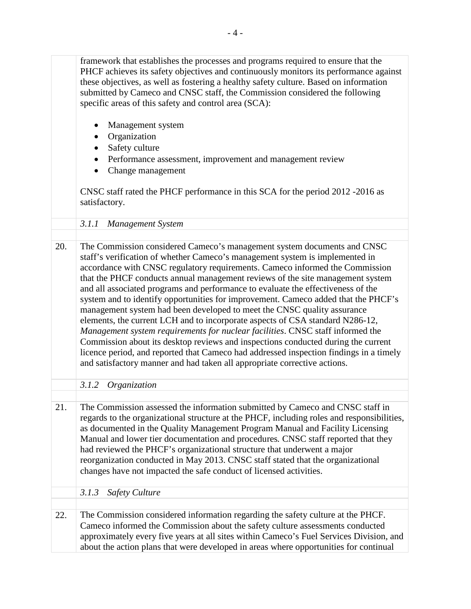<span id="page-9-2"></span><span id="page-9-1"></span><span id="page-9-0"></span>

|     | framework that establishes the processes and programs required to ensure that the<br>PHCF achieves its safety objectives and continuously monitors its performance against<br>these objectives, as well as fostering a healthy safety culture. Based on information<br>submitted by Cameco and CNSC staff, the Commission considered the following<br>specific areas of this safety and control area (SCA):<br>Management system<br>Organization<br>Safety culture<br>Performance assessment, improvement and management review<br>Change management<br>CNSC staff rated the PHCF performance in this SCA for the period 2012 -2016 as<br>satisfactory.                                                                                                                                                                                                                                                                                                                                                       |
|-----|---------------------------------------------------------------------------------------------------------------------------------------------------------------------------------------------------------------------------------------------------------------------------------------------------------------------------------------------------------------------------------------------------------------------------------------------------------------------------------------------------------------------------------------------------------------------------------------------------------------------------------------------------------------------------------------------------------------------------------------------------------------------------------------------------------------------------------------------------------------------------------------------------------------------------------------------------------------------------------------------------------------|
|     | 3.1.1<br><b>Management System</b>                                                                                                                                                                                                                                                                                                                                                                                                                                                                                                                                                                                                                                                                                                                                                                                                                                                                                                                                                                             |
|     |                                                                                                                                                                                                                                                                                                                                                                                                                                                                                                                                                                                                                                                                                                                                                                                                                                                                                                                                                                                                               |
| 20. | The Commission considered Cameco's management system documents and CNSC<br>staff's verification of whether Cameco's management system is implemented in<br>accordance with CNSC regulatory requirements. Cameco informed the Commission<br>that the PHCF conducts annual management reviews of the site management system<br>and all associated programs and performance to evaluate the effectiveness of the<br>system and to identify opportunities for improvement. Cameco added that the PHCF's<br>management system had been developed to meet the CNSC quality assurance<br>elements, the current LCH and to incorporate aspects of CSA standard N286-12,<br>Management system requirements for nuclear facilities. CNSC staff informed the<br>Commission about its desktop reviews and inspections conducted during the current<br>licence period, and reported that Cameco had addressed inspection findings in a timely<br>and satisfactory manner and had taken all appropriate corrective actions. |
|     | 3.1.2<br>Organization                                                                                                                                                                                                                                                                                                                                                                                                                                                                                                                                                                                                                                                                                                                                                                                                                                                                                                                                                                                         |
|     |                                                                                                                                                                                                                                                                                                                                                                                                                                                                                                                                                                                                                                                                                                                                                                                                                                                                                                                                                                                                               |
| 21. | The Commission assessed the information submitted by Cameco and CNSC staff in<br>regards to the organizational structure at the PHCF, including roles and responsibilities,<br>as documented in the Quality Management Program Manual and Facility Licensing<br>Manual and lower tier documentation and procedures. CNSC staff reported that they<br>had reviewed the PHCF's organizational structure that underwent a major<br>reorganization conducted in May 2013. CNSC staff stated that the organizational<br>changes have not impacted the safe conduct of licensed activities.                                                                                                                                                                                                                                                                                                                                                                                                                         |
|     | <b>Safety Culture</b><br>3.1.3                                                                                                                                                                                                                                                                                                                                                                                                                                                                                                                                                                                                                                                                                                                                                                                                                                                                                                                                                                                |
|     |                                                                                                                                                                                                                                                                                                                                                                                                                                                                                                                                                                                                                                                                                                                                                                                                                                                                                                                                                                                                               |
| 22. | The Commission considered information regarding the safety culture at the PHCF.<br>Cameco informed the Commission about the safety culture assessments conducted<br>approximately every five years at all sites within Cameco's Fuel Services Division, and<br>about the action plans that were developed in areas where opportunities for continual                                                                                                                                                                                                                                                                                                                                                                                                                                                                                                                                                                                                                                                          |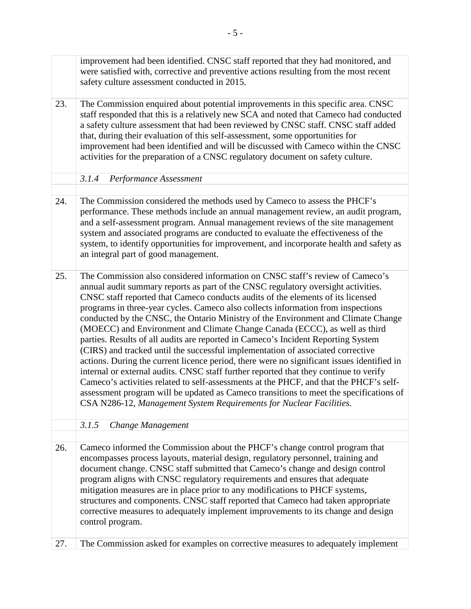<span id="page-10-0"></span> CNSC staff reported that Cameco conducts audits of the elements of its licensed improvement had been identified. CNSC staff reported that they had monitored, and were satisfied with, corrective and preventive actions resulting from the most recent safety culture assessment conducted in 2015. The Commission enquired about potential improvements in this specific area. CNSC staff responded that this is a relatively new SCA and noted that Cameco had conducted a safety culture assessment that had been reviewed by CNSC staff. CNSC staff added that, during their evaluation of this self-assessment, some opportunities for improvement had been identified and will be discussed with Cameco within the CNSC activities for the preparation of a CNSC regulatory document on safety culture. 23. *3.1.4 Performance Assessment*  The Commission considered the methods used by Cameco to assess the PHCF's performance. These methods include an annual management review, an audit program, and a self-assessment program. Annual management reviews of the site management system and associated programs are conducted to evaluate the effectiveness of the system, to identify opportunities for improvement, and incorporate health and safety as an integral part of good management. 24. The Commission also considered information on CNSC staff's review of Cameco's annual audit summary reports as part of the CNSC regulatory oversight activities. programs in three-year cycles. Cameco also collects information from inspections conducted by the CNSC, the Ontario Ministry of the Environment and Climate Change (MOECC) and Environment and Climate Change Canada (ECCC), as well as third parties. Results of all audits are reported in Cameco's Incident Reporting System (CIRS) and tracked until the successful implementation of associated corrective actions. During the current licence period, there were no significant issues identified in internal or external audits. CNSC staff further reported that they continue to verify Cameco's activities related to self-assessments at the PHCF, and that the PHCF's selfassessment program will be updated as Cameco transitions to meet the specifications of CSA N286-12, *Management System Requirements for Nuclear Facilities*. 25. *3.1.5 Change Management*  Cameco informed the Commission about the PHCF's change control program that encompasses process layouts, material design, regulatory personnel, training and document change. CNSC staff submitted that Cameco's change and design control program aligns with CNSC regulatory requirements and ensures that adequate mitigation measures are in place prior to any modifications to PHCF systems, structures and components. CNSC staff reported that Cameco had taken appropriate corrective measures to adequately implement improvements to its change and design control program. 26.

<span id="page-10-1"></span>27. The Commission asked for examples on corrective measures to adequately implement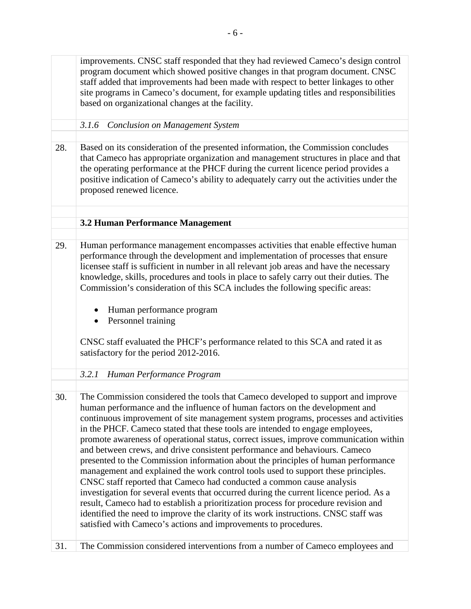<span id="page-11-2"></span><span id="page-11-1"></span><span id="page-11-0"></span>improvements. CNSC staff responded that they had reviewed Cameco's design control program document which showed positive changes in that program document. CNSC staff added that improvements had been made with respect to better linkages to other site programs in Cameco's document, for example updating titles and responsibilities based on organizational changes at the facility. *3.1.6 Conclusion on Management System*  28. Based on its consideration of the presented information, the Commission concludes that Cameco has appropriate organization and management structures in place and that the operating performance at the PHCF during the current licence period provides a positive indication of Cameco's ability to adequately carry out the activities under the proposed renewed licence. **3.2 Human Performance Management**  29. Human performance management encompasses activities that enable effective human performance through the development and implementation of processes that ensure licensee staff is sufficient in number in all relevant job areas and have the necessary knowledge, skills, procedures and tools in place to safely carry out their duties. The Commission's consideration of this SCA includes the following specific areas: • Human performance program • Personnel training CNSC staff evaluated the PHCF's performance related to this SCA and rated it as satisfactory for the period 2012-2016. *3.2.1 Human Performance Program*  30. The Commission considered the tools that Cameco developed to support and improve human performance and the influence of human factors on the development and continuous improvement of site management system programs, processes and activities in the PHCF. Cameco stated that these tools are intended to engage employees, promote awareness of operational status, correct issues, improve communication within and between crews, and drive consistent performance and behaviours. Cameco presented to the Commission information about the principles of human performance management and explained the work control tools used to support these principles. CNSC staff reported that Cameco had conducted a common cause analysis investigation for several events that occurred during the current licence period. As a result, Cameco had to establish a prioritization process for procedure revision and identified the need to improve the clarity of its work instructions. CNSC staff was satisfied with Cameco's actions and improvements to procedures. 31. The Commission considered interventions from a number of Cameco employees and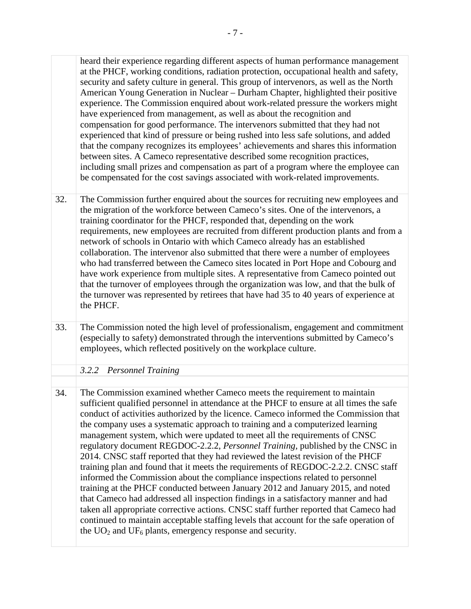heard their experience regarding different aspects of human performance management experienced that kind of pressure or being rushed into less safe solutions, and added at the PHCF, working conditions, radiation protection, occupational health and safety, security and safety culture in general. This group of intervenors, as well as the North American Young Generation in Nuclear – Durham Chapter, highlighted their positive experience. The Commission enquired about work-related pressure the workers might have experienced from management, as well as about the recognition and compensation for good performance. The intervenors submitted that they had not that the company recognizes its employees' achievements and shares this information between sites. A Cameco representative described some recognition practices, including small prizes and compensation as part of a program where the employee can be compensated for the cost savings associated with work-related improvements.

- The Commission further enquired about the sources for recruiting new employees and the migration of the workforce between Cameco's sites. One of the intervenors, a training coordinator for the PHCF, responded that, depending on the work requirements, new employees are recruited from different production plants and from a network of schools in Ontario with which Cameco already has an established collaboration. The intervenor also submitted that there were a number of employees who had transferred between the Cameco sites located in Port Hope and Cobourg and have work experience from multiple sites. A representative from Cameco pointed out that the turnover of employees through the organization was low, and that the bulk of the turnover was represented by retirees that have had 35 to 40 years of experience at the PHCF. 32.
- The Commission noted the high level of professionalism, engagement and commitment (especially to safety) demonstrated through the interventions submitted by Cameco's employees, which reflected positively on the workplace culture. 33.

<span id="page-12-0"></span>*3.2.2 Personnel Training* 

The Commission examined whether Cameco meets the requirement to maintain sufficient qualified personnel in attendance at the PHCF to ensure at all times the safe conduct of activities authorized by the licence. Cameco informed the Commission that the company uses a systematic approach to training and a computerized learning management system, which were updated to meet all the requirements of CNSC regulatory document REGDOC-2.2.2, *Personnel Training,* published by the CNSC in 2014. CNSC staff reported that they had reviewed the latest revision of the PHCF training plan and found that it meets the requirements of REGDOC-2.2.2. CNSC staff informed the Commission about the compliance inspections related to personnel training at the PHCF conducted between January 2012 and January 2015, and noted that Cameco had addressed all inspection findings in a satisfactory manner and had taken all appropriate corrective actions. CNSC staff further reported that Cameco had continued to maintain acceptable staffing levels that account for the safe operation of the  $UO<sub>2</sub>$  and  $UF<sub>6</sub>$  plants, emergency response and security. 34.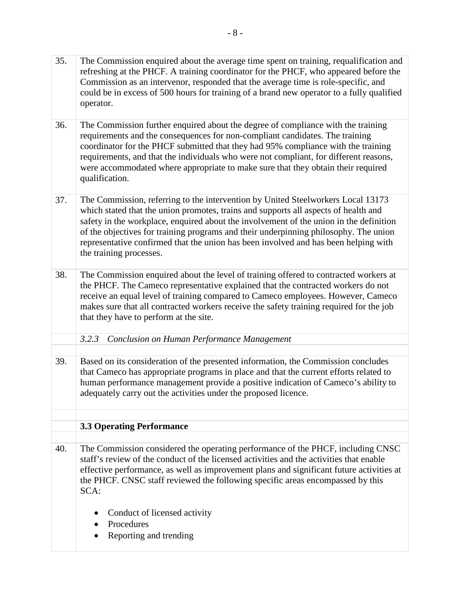- 35. The Commission enquired about the average time spent on training, requalification and refreshing at the PHCF. A training coordinator for the PHCF, who appeared before the Commission as an intervenor, responded that the average time is role-specific, and could be in excess of 500 hours for training of a brand new operator to a fully qualified operator.
- 36. The Commission further enquired about the degree of compliance with the training requirements and the consequences for non-compliant candidates. The training coordinator for the PHCF submitted that they had 95% compliance with the training requirements, and that the individuals who were not compliant, for different reasons, were accommodated where appropriate to make sure that they obtain their required qualification.
- 37. The Commission, referring to the intervention by United Steelworkers Local 13173 which stated that the union promotes, trains and supports all aspects of health and safety in the workplace, enquired about the involvement of the union in the definition of the objectives for training programs and their underpinning philosophy. The union representative confirmed that the union has been involved and has been helping with the training processes.
- 38. The Commission enquired about the level of training offered to contracted workers at the PHCF. The Cameco representative explained that the contracted workers do not receive an equal level of training compared to Cameco employees. However, Cameco makes sure that all contracted workers receive the safety training required for the job that they have to perform at the site.
	- *3.2.3 Conclusion on Human Performance Management*
- <span id="page-13-0"></span>39. Based on its consideration of the presented information, the Commission concludes that Cameco has appropriate programs in place and that the current efforts related to human performance management provide a positive indication of Cameco's ability to adequately carry out the activities under the proposed licence.

### <span id="page-13-1"></span>**3.3 Operating Performance**

- 40. The Commission considered the operating performance of the PHCF, including CNSC staff's review of the conduct of the licensed activities and the activities that enable effective performance, as well as improvement plans and significant future activities at the PHCF. CNSC staff reviewed the following specific areas encompassed by this SCA:
	- Conduct of licensed activity
	- Procedures
	- Reporting and trending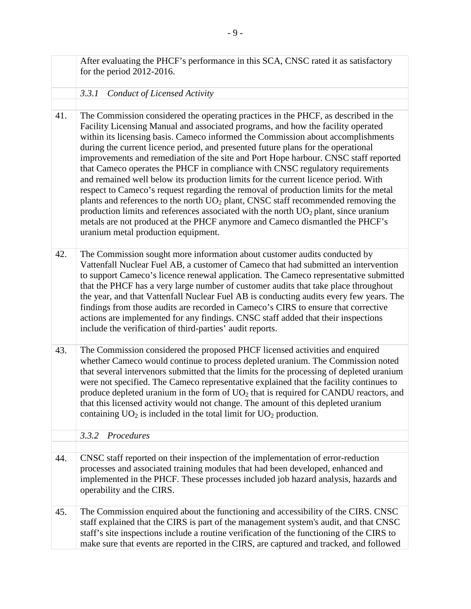<span id="page-14-1"></span><span id="page-14-0"></span>

|     | After evaluating the PHCF's performance in this SCA, CNSC rated it as satisfactory<br>for the period $2012-2016$ .                                                                                                                                                                                                                                                                                                                                                                                                                                                                                                                                                                                                                                                                                                                                                                                                                                                                                                     |
|-----|------------------------------------------------------------------------------------------------------------------------------------------------------------------------------------------------------------------------------------------------------------------------------------------------------------------------------------------------------------------------------------------------------------------------------------------------------------------------------------------------------------------------------------------------------------------------------------------------------------------------------------------------------------------------------------------------------------------------------------------------------------------------------------------------------------------------------------------------------------------------------------------------------------------------------------------------------------------------------------------------------------------------|
|     | <b>Conduct of Licensed Activity</b><br>3.3.1                                                                                                                                                                                                                                                                                                                                                                                                                                                                                                                                                                                                                                                                                                                                                                                                                                                                                                                                                                           |
|     |                                                                                                                                                                                                                                                                                                                                                                                                                                                                                                                                                                                                                                                                                                                                                                                                                                                                                                                                                                                                                        |
| 41. | The Commission considered the operating practices in the PHCF, as described in the<br>Facility Licensing Manual and associated programs, and how the facility operated<br>within its licensing basis. Cameco informed the Commission about accomplishments<br>during the current licence period, and presented future plans for the operational<br>improvements and remediation of the site and Port Hope harbour. CNSC staff reported<br>that Cameco operates the PHCF in compliance with CNSC regulatory requirements<br>and remained well below its production limits for the current licence period. With<br>respect to Cameco's request regarding the removal of production limits for the metal<br>plants and references to the north UO <sub>2</sub> plant, CNSC staff recommended removing the<br>production limits and references associated with the north $UO2$ plant, since uranium<br>metals are not produced at the PHCF anymore and Cameco dismantled the PHCF's<br>uranium metal production equipment. |
| 42. | The Commission sought more information about customer audits conducted by<br>Vattenfall Nuclear Fuel AB, a customer of Cameco that had submitted an intervention<br>to support Cameco's licence renewal application. The Cameco representative submitted<br>that the PHCF has a very large number of customer audits that take place throughout<br>the year, and that Vattenfall Nuclear Fuel AB is conducting audits every few years. The<br>findings from those audits are recorded in Cameco's CIRS to ensure that corrective<br>actions are implemented for any findings. CNSC staff added that their inspections<br>include the verification of third-parties' audit reports.                                                                                                                                                                                                                                                                                                                                     |
| 43. | The Commission considered the proposed PHCF licensed activities and enquired<br>whether Cameco would continue to process depleted uranium. The Commission noted<br>that several intervenors submitted that the limits for the processing of depleted uranium<br>were not specified. The Cameco representative explained that the facility continues to<br>produce depleted uranium in the form of $UO2$ that is required for CANDU reactors, and<br>that this licensed activity would not change. The amount of this depleted uranium<br>containing $UO_2$ is included in the total limit for $UO_2$ production.                                                                                                                                                                                                                                                                                                                                                                                                       |
|     | 3.3.2<br>Procedures                                                                                                                                                                                                                                                                                                                                                                                                                                                                                                                                                                                                                                                                                                                                                                                                                                                                                                                                                                                                    |
|     |                                                                                                                                                                                                                                                                                                                                                                                                                                                                                                                                                                                                                                                                                                                                                                                                                                                                                                                                                                                                                        |
| 44. | CNSC staff reported on their inspection of the implementation of error-reduction<br>processes and associated training modules that had been developed, enhanced and<br>implemented in the PHCF. These processes included job hazard analysis, hazards and<br>operability and the CIRS.                                                                                                                                                                                                                                                                                                                                                                                                                                                                                                                                                                                                                                                                                                                                 |
| 45. | The Commission enquired about the functioning and accessibility of the CIRS. CNSC<br>staff explained that the CIRS is part of the management system's audit, and that CNSC<br>staff's site inspections include a routine verification of the functioning of the CIRS to<br>make sure that events are reported in the CIRS, are captured and tracked, and followed                                                                                                                                                                                                                                                                                                                                                                                                                                                                                                                                                                                                                                                      |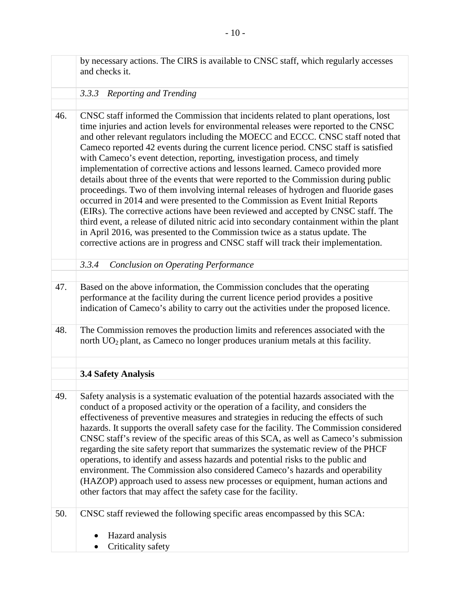<span id="page-15-2"></span><span id="page-15-1"></span><span id="page-15-0"></span>

|     | by necessary actions. The CIRS is available to CNSC staff, which regularly accesses<br>and checks it.                                                                                                                                                                                                                                                                                                                                                                                                                                                                                                                                                                                                                                                                                                                                                                                                                                                                                                                                                                                                                                              |
|-----|----------------------------------------------------------------------------------------------------------------------------------------------------------------------------------------------------------------------------------------------------------------------------------------------------------------------------------------------------------------------------------------------------------------------------------------------------------------------------------------------------------------------------------------------------------------------------------------------------------------------------------------------------------------------------------------------------------------------------------------------------------------------------------------------------------------------------------------------------------------------------------------------------------------------------------------------------------------------------------------------------------------------------------------------------------------------------------------------------------------------------------------------------|
|     | Reporting and Trending<br>3.3.3                                                                                                                                                                                                                                                                                                                                                                                                                                                                                                                                                                                                                                                                                                                                                                                                                                                                                                                                                                                                                                                                                                                    |
|     |                                                                                                                                                                                                                                                                                                                                                                                                                                                                                                                                                                                                                                                                                                                                                                                                                                                                                                                                                                                                                                                                                                                                                    |
| 46. | CNSC staff informed the Commission that incidents related to plant operations, lost<br>time injuries and action levels for environmental releases were reported to the CNSC<br>and other relevant regulators including the MOECC and ECCC. CNSC staff noted that<br>Cameco reported 42 events during the current licence period. CNSC staff is satisfied<br>with Cameco's event detection, reporting, investigation process, and timely<br>implementation of corrective actions and lessons learned. Cameco provided more<br>details about three of the events that were reported to the Commission during public<br>proceedings. Two of them involving internal releases of hydrogen and fluoride gases<br>occurred in 2014 and were presented to the Commission as Event Initial Reports<br>(EIRs). The corrective actions have been reviewed and accepted by CNSC staff. The<br>third event, a release of diluted nitric acid into secondary containment within the plant<br>in April 2016, was presented to the Commission twice as a status update. The<br>corrective actions are in progress and CNSC staff will track their implementation. |
|     | 3.3.4<br><b>Conclusion on Operating Performance</b>                                                                                                                                                                                                                                                                                                                                                                                                                                                                                                                                                                                                                                                                                                                                                                                                                                                                                                                                                                                                                                                                                                |
|     |                                                                                                                                                                                                                                                                                                                                                                                                                                                                                                                                                                                                                                                                                                                                                                                                                                                                                                                                                                                                                                                                                                                                                    |
| 47. | Based on the above information, the Commission concludes that the operating<br>performance at the facility during the current licence period provides a positive<br>indication of Cameco's ability to carry out the activities under the proposed licence.                                                                                                                                                                                                                                                                                                                                                                                                                                                                                                                                                                                                                                                                                                                                                                                                                                                                                         |
| 48. | The Commission removes the production limits and references associated with the<br>north UO <sub>2</sub> plant, as Cameco no longer produces uranium metals at this facility.                                                                                                                                                                                                                                                                                                                                                                                                                                                                                                                                                                                                                                                                                                                                                                                                                                                                                                                                                                      |
|     |                                                                                                                                                                                                                                                                                                                                                                                                                                                                                                                                                                                                                                                                                                                                                                                                                                                                                                                                                                                                                                                                                                                                                    |
|     | <b>3.4 Safety Analysis</b>                                                                                                                                                                                                                                                                                                                                                                                                                                                                                                                                                                                                                                                                                                                                                                                                                                                                                                                                                                                                                                                                                                                         |
|     |                                                                                                                                                                                                                                                                                                                                                                                                                                                                                                                                                                                                                                                                                                                                                                                                                                                                                                                                                                                                                                                                                                                                                    |
| 49. | Safety analysis is a systematic evaluation of the potential hazards associated with the<br>conduct of a proposed activity or the operation of a facility, and considers the<br>effectiveness of preventive measures and strategies in reducing the effects of such<br>hazards. It supports the overall safety case for the facility. The Commission considered<br>CNSC staff's review of the specific areas of this SCA, as well as Cameco's submission<br>regarding the site safety report that summarizes the systematic review of the PHCF<br>operations, to identify and assess hazards and potential risks to the public and<br>environment. The Commission also considered Cameco's hazards and operability<br>(HAZOP) approach used to assess new processes or equipment, human actions and<br>other factors that may affect the safety case for the facility.                                                                                                                                                                                                                                                                              |
| 50. | CNSC staff reviewed the following specific areas encompassed by this SCA:                                                                                                                                                                                                                                                                                                                                                                                                                                                                                                                                                                                                                                                                                                                                                                                                                                                                                                                                                                                                                                                                          |
|     | Hazard analysis<br>Criticality safety                                                                                                                                                                                                                                                                                                                                                                                                                                                                                                                                                                                                                                                                                                                                                                                                                                                                                                                                                                                                                                                                                                              |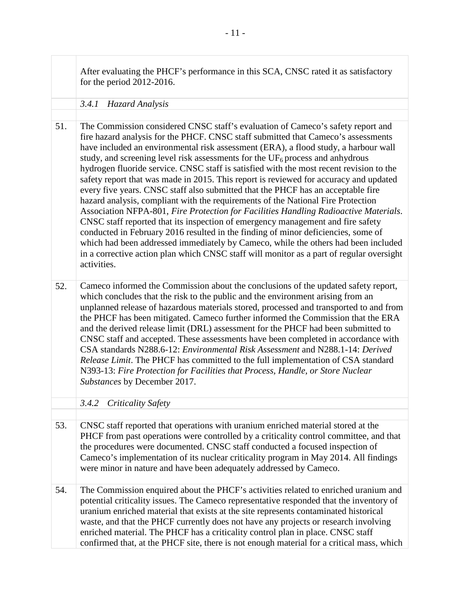<span id="page-16-1"></span><span id="page-16-0"></span>

|     | After evaluating the PHCF's performance in this SCA, CNSC rated it as satisfactory<br>for the period $2012-2016$ .                                                                                                                                                                                                                                                                                                                                                                                                                                                                                                                                                                                                                                                                                                                                                                                                                                                                                                                                                                                                                                                           |
|-----|------------------------------------------------------------------------------------------------------------------------------------------------------------------------------------------------------------------------------------------------------------------------------------------------------------------------------------------------------------------------------------------------------------------------------------------------------------------------------------------------------------------------------------------------------------------------------------------------------------------------------------------------------------------------------------------------------------------------------------------------------------------------------------------------------------------------------------------------------------------------------------------------------------------------------------------------------------------------------------------------------------------------------------------------------------------------------------------------------------------------------------------------------------------------------|
|     | 3.4.1<br>Hazard Analysis                                                                                                                                                                                                                                                                                                                                                                                                                                                                                                                                                                                                                                                                                                                                                                                                                                                                                                                                                                                                                                                                                                                                                     |
| 51. | The Commission considered CNSC staff's evaluation of Cameco's safety report and<br>fire hazard analysis for the PHCF. CNSC staff submitted that Cameco's assessments<br>have included an environmental risk assessment (ERA), a flood study, a harbour wall<br>study, and screening level risk assessments for the $UF_6$ process and anhydrous<br>hydrogen fluoride service. CNSC staff is satisfied with the most recent revision to the<br>safety report that was made in 2015. This report is reviewed for accuracy and updated<br>every five years. CNSC staff also submitted that the PHCF has an acceptable fire<br>hazard analysis, compliant with the requirements of the National Fire Protection<br>Association NFPA-801, Fire Protection for Facilities Handling Radioactive Materials.<br>CNSC staff reported that its inspection of emergency management and fire safety<br>conducted in February 2016 resulted in the finding of minor deficiencies, some of<br>which had been addressed immediately by Cameco, while the others had been included<br>in a corrective action plan which CNSC staff will monitor as a part of regular oversight<br>activities. |
| 52. | Cameco informed the Commission about the conclusions of the updated safety report,<br>which concludes that the risk to the public and the environment arising from an<br>unplanned release of hazardous materials stored, processed and transported to and from<br>the PHCF has been mitigated. Cameco further informed the Commission that the ERA<br>and the derived release limit (DRL) assessment for the PHCF had been submitted to<br>CNSC staff and accepted. These assessments have been completed in accordance with<br>CSA standards N288.6-12: Environmental Risk Assessment and N288.1-14: Derived<br>Release Limit. The PHCF has committed to the full implementation of CSA standard<br>N393-13: Fire Protection for Facilities that Process, Handle, or Store Nuclear<br>Substances by December 2017.                                                                                                                                                                                                                                                                                                                                                         |
|     | 3.4.2 Criticality Safety                                                                                                                                                                                                                                                                                                                                                                                                                                                                                                                                                                                                                                                                                                                                                                                                                                                                                                                                                                                                                                                                                                                                                     |
|     |                                                                                                                                                                                                                                                                                                                                                                                                                                                                                                                                                                                                                                                                                                                                                                                                                                                                                                                                                                                                                                                                                                                                                                              |
| 53. | CNSC staff reported that operations with uranium enriched material stored at the<br>PHCF from past operations were controlled by a criticality control committee, and that<br>the procedures were documented. CNSC staff conducted a focused inspection of<br>Cameco's implementation of its nuclear criticality program in May 2014. All findings<br>were minor in nature and have been adequately addressed by Cameco.                                                                                                                                                                                                                                                                                                                                                                                                                                                                                                                                                                                                                                                                                                                                                     |
| 54. | The Commission enquired about the PHCF's activities related to enriched uranium and<br>potential criticality issues. The Cameco representative responded that the inventory of<br>uranium enriched material that exists at the site represents contaminated historical<br>waste, and that the PHCF currently does not have any projects or research involving<br>enriched material. The PHCF has a criticality control plan in place. CNSC staff<br>confirmed that, at the PHCF site, there is not enough material for a critical mass, which                                                                                                                                                                                                                                                                                                                                                                                                                                                                                                                                                                                                                                |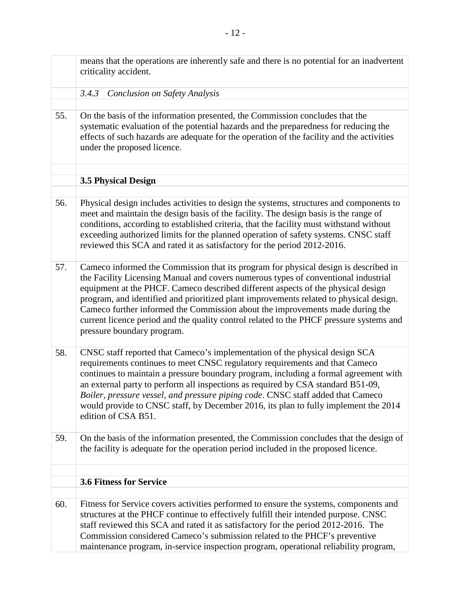<span id="page-17-2"></span><span id="page-17-1"></span><span id="page-17-0"></span>

|     | means that the operations are inherently safe and there is no potential for an inadvertent<br>criticality accident.                                                                                                                                                                                                                                                                                                                                                                                                                                               |
|-----|-------------------------------------------------------------------------------------------------------------------------------------------------------------------------------------------------------------------------------------------------------------------------------------------------------------------------------------------------------------------------------------------------------------------------------------------------------------------------------------------------------------------------------------------------------------------|
|     | 3.4.3<br><b>Conclusion on Safety Analysis</b>                                                                                                                                                                                                                                                                                                                                                                                                                                                                                                                     |
|     |                                                                                                                                                                                                                                                                                                                                                                                                                                                                                                                                                                   |
| 55. | On the basis of the information presented, the Commission concludes that the<br>systematic evaluation of the potential hazards and the preparedness for reducing the<br>effects of such hazards are adequate for the operation of the facility and the activities<br>under the proposed licence.                                                                                                                                                                                                                                                                  |
|     |                                                                                                                                                                                                                                                                                                                                                                                                                                                                                                                                                                   |
|     | <b>3.5 Physical Design</b>                                                                                                                                                                                                                                                                                                                                                                                                                                                                                                                                        |
|     |                                                                                                                                                                                                                                                                                                                                                                                                                                                                                                                                                                   |
| 56. | Physical design includes activities to design the systems, structures and components to<br>meet and maintain the design basis of the facility. The design basis is the range of<br>conditions, according to established criteria, that the facility must withstand without<br>exceeding authorized limits for the planned operation of safety systems. CNSC staff<br>reviewed this SCA and rated it as satisfactory for the period 2012-2016.                                                                                                                     |
| 57. | Cameco informed the Commission that its program for physical design is described in<br>the Facility Licensing Manual and covers numerous types of conventional industrial<br>equipment at the PHCF. Cameco described different aspects of the physical design<br>program, and identified and prioritized plant improvements related to physical design.<br>Cameco further informed the Commission about the improvements made during the<br>current licence period and the quality control related to the PHCF pressure systems and<br>pressure boundary program. |
| 58. | CNSC staff reported that Cameco's implementation of the physical design SCA<br>requirements continues to meet CNSC regulatory requirements and that Cameco<br>continues to maintain a pressure boundary program, including a formal agreement with<br>an external party to perform all inspections as required by CSA standard B51-09,<br>Boiler, pressure vessel, and pressure piping code. CNSC staff added that Cameco<br>would provide to CNSC staff, by December 2016, its plan to fully implement the 2014<br>edition of CSA B51.                           |
| 59. | On the basis of the information presented, the Commission concludes that the design of<br>the facility is adequate for the operation period included in the proposed licence.                                                                                                                                                                                                                                                                                                                                                                                     |
|     |                                                                                                                                                                                                                                                                                                                                                                                                                                                                                                                                                                   |
|     | <b>3.6 Fitness for Service</b>                                                                                                                                                                                                                                                                                                                                                                                                                                                                                                                                    |
| 60. | Fitness for Service covers activities performed to ensure the systems, components and<br>structures at the PHCF continue to effectively fulfill their intended purpose. CNSC<br>staff reviewed this SCA and rated it as satisfactory for the period 2012-2016. The<br>Commission considered Cameco's submission related to the PHCF's preventive<br>maintenance program, in-service inspection program, operational reliability program,                                                                                                                          |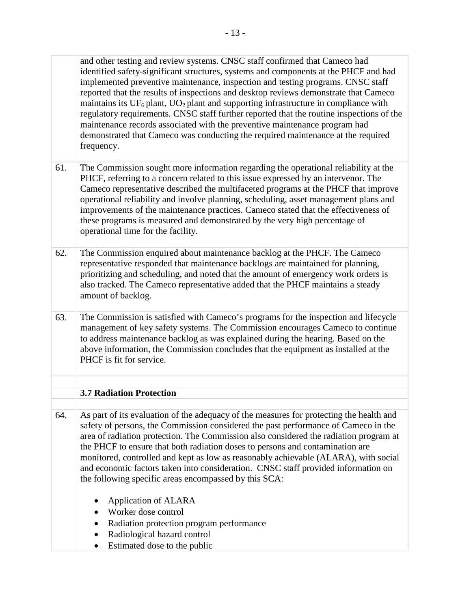and other testing and review systems. CNSC staff confirmed that Cameco had identified safety-significant structures, systems and components at the PHCF and had implemented preventive maintenance, inspection and testing programs. CNSC staff reported that the results of inspections and desktop reviews demonstrate that Cameco maintains its  $UF_6$  plant,  $UO_2$  plant and supporting infrastructure in compliance with regulatory requirements. CNSC staff further reported that the routine inspections of the maintenance records associated with the preventive maintenance program had demonstrated that Cameco was conducting the required maintenance at the required frequency.

- 61. The Commission sought more information regarding the operational reliability at the PHCF, referring to a concern related to this issue expressed by an intervenor. The Cameco representative described the multifaceted programs at the PHCF that improve operational reliability and involve planning, scheduling, asset management plans and improvements of the maintenance practices. Cameco stated that the effectiveness of these programs is measured and demonstrated by the very high percentage of operational time for the facility.
- 62. The Commission enquired about maintenance backlog at the PHCF. The Cameco representative responded that maintenance backlogs are maintained for planning, prioritizing and scheduling, and noted that the amount of emergency work orders is also tracked. The Cameco representative added that the PHCF maintains a steady amount of backlog.
- The Commission is satisfied with Cameco's programs for the inspection and lifecycle management of key safety systems. The Commission encourages Cameco to continue to address maintenance backlog as was explained during the hearing. Based on the above information, the Commission concludes that the equipment as installed at the PHCF is fit for service. 63.

### <span id="page-18-0"></span>**3.7 Radiation Protection**

- As part of its evaluation of the adequacy of the measures for protecting the health and safety of persons, the Commission considered the past performance of Cameco in the area of radiation protection. The Commission also considered the radiation program at the PHCF to ensure that both radiation doses to persons and contamination are monitored, controlled and kept as low as reasonably achievable (ALARA), with social and economic factors taken into consideration. CNSC staff provided information on the following specific areas encompassed by this SCA: 64.
	- Application of ALARA
	- Worker dose control
	- Radiation protection program performance
	- Radiological hazard control
	- Estimated dose to the public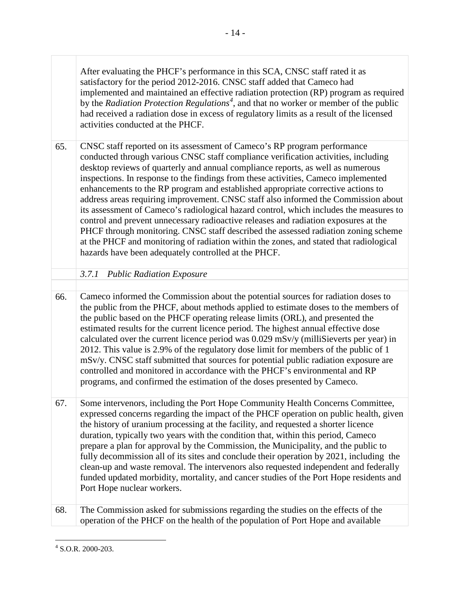by the *Radiation Protection Regulations[4](#page-19-1)* , and that no worker or member of the public activities conducted at the PHCF. After evaluating the PHCF's performance in this SCA, CNSC staff rated it as satisfactory for the period 2012-2016. CNSC staff added that Cameco had implemented and maintained an effective radiation protection (RP) program as required had received a radiation dose in excess of regulatory limits as a result of the licensed

- inspections. In response to the findings from these activities, Cameco implemented CNSC staff reported on its assessment of Cameco's RP program performance conducted through various CNSC staff compliance verification activities, including desktop reviews of quarterly and annual compliance reports, as well as numerous enhancements to the RP program and established appropriate corrective actions to address areas requiring improvement. CNSC staff also informed the Commission about its assessment of Cameco's radiological hazard control, which includes the measures to control and prevent unnecessary radioactive releases and radiation exposures at the PHCF through monitoring. CNSC staff described the assessed radiation zoning scheme at the PHCF and monitoring of radiation within the zones, and stated that radiological hazards have been adequately controlled at the PHCF. 65.
	- *3.7.1 Public Radiation Exposure*
- <span id="page-19-0"></span>Cameco informed the Commission about the potential sources for radiation doses to the public from the PHCF, about methods applied to estimate doses to the members of the public based on the PHCF operating release limits (ORL), and presented the estimated results for the current licence period. The highest annual effective dose calculated over the current licence period was 0.029 mSv/y (milliSieverts per year) in 2012. This value is 2.9% of the regulatory dose limit for members of the public of 1 mSv/y. CNSC staff submitted that sources for potential public radiation exposure are controlled and monitored in accordance with the PHCF's environmental and RP programs, and confirmed the estimation of the doses presented by Cameco. 66.

 fully decommission all of its sites and conclude their operation by 2021, including the 67. Some intervenors, including the Port Hope Community Health Concerns Committee, expressed concerns regarding the impact of the PHCF operation on public health, given the history of uranium processing at the facility, and requested a shorter licence duration, typically two years with the condition that, within this period, Cameco prepare a plan for approval by the Commission, the Municipality, and the public to clean-up and waste removal. The intervenors also requested independent and federally funded updated morbidity, mortality, and cancer studies of the Port Hope residents and Port Hope nuclear workers.

The Commission asked for submissions regarding the studies on the effects of the operation of the PHCF on the health of the population of Port Hope and available 68.

<span id="page-19-1"></span> $4$  S.O.R. 2000-203.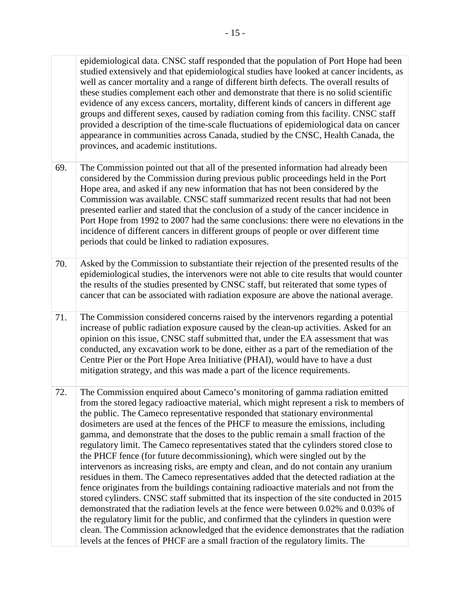studied extensively and that epidemiological studies have looked at cancer incidents, as evidence of any excess cancers, mortality, different kinds of cancers in different age provided a description of the time-scale fluctuations of epidemiological data on cancer provinces, and academic institutions. epidemiological data. CNSC staff responded that the population of Port Hope had been well as cancer mortality and a range of different birth defects. The overall results of these studies complement each other and demonstrate that there is no solid scientific groups and different sexes, caused by radiation coming from this facility. CNSC staff appearance in communities across Canada, studied by the CNSC, Health Canada, the

- Commission was available. CNSC staff summarized recent results that had not been presented earlier and stated that the conclusion of a study of the cancer incidence in incidence of different cancers in different groups of people or over different time periods that could be linked to radiation exposures. The Commission pointed out that all of the presented information had already been considered by the Commission during previous public proceedings held in the Port Hope area, and asked if any new information that has not been considered by the Port Hope from 1992 to 2007 had the same conclusions: there were no elevations in the 69.
- epidemiological studies, the intervenors were not able to cite results that would counter Asked by the Commission to substantiate their rejection of the presented results of the the results of the studies presented by CNSC staff, but reiterated that some types of cancer that can be associated with radiation exposure are above the national average. 70.
- The Commission considered concerns raised by the intervenors regarding a potential increase of public radiation exposure caused by the clean-up activities. Asked for an opinion on this issue, CNSC staff submitted that, under the EA assessment that was Centre Pier or the Port Hope Area Initiative (PHAI), would have to have a dust conducted, any excavation work to be done, either as a part of the remediation of the mitigation strategy, and this was made a part of the licence requirements. 71.
- The Commission enquired about Cameco's monitoring of gamma radiation emitted from the stored legacy radioactive material, which might represent a risk to members of the public. The Cameco representative responded that stationary environmental dosimeters are used at the fences of the PHCF to measure the emissions, including gamma, and demonstrate that the doses to the public remain a small fraction of the regulatory limit. The Cameco representatives stated that the cylinders stored close to the PHCF fence (for future decommissioning), which were singled out by the intervenors as increasing risks, are empty and clean, and do not contain any uranium residues in them. The Cameco representatives added that the detected radiation at the fence originates from the buildings containing radioactive materials and not from the stored cylinders. CNSC staff submitted that its inspection of the site conducted in 2015 demonstrated that the radiation levels at the fence were between 0.02% and 0.03% of the regulatory limit for the public, and confirmed that the cylinders in question were clean. The Commission acknowledged that the evidence demonstrates that the radiation levels at the fences of PHCF are a small fraction of the regulatory limits. The 72.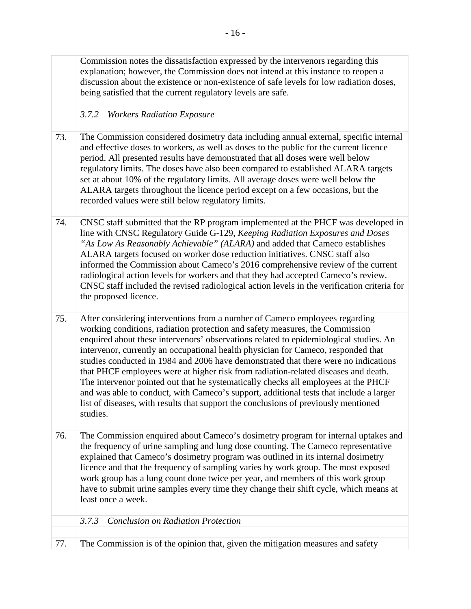<span id="page-21-1"></span><span id="page-21-0"></span>

|     | Commission notes the dissatisfaction expressed by the intervenors regarding this<br>explanation; however, the Commission does not intend at this instance to reopen a<br>discussion about the existence or non-existence of safe levels for low radiation doses,<br>being satisfied that the current regulatory levels are safe.                                                                                                                                                                                                                                                                                                                                                                                                                                                                          |
|-----|-----------------------------------------------------------------------------------------------------------------------------------------------------------------------------------------------------------------------------------------------------------------------------------------------------------------------------------------------------------------------------------------------------------------------------------------------------------------------------------------------------------------------------------------------------------------------------------------------------------------------------------------------------------------------------------------------------------------------------------------------------------------------------------------------------------|
|     | <b>Workers Radiation Exposure</b><br>3.7.2                                                                                                                                                                                                                                                                                                                                                                                                                                                                                                                                                                                                                                                                                                                                                                |
| 73. | The Commission considered dosimetry data including annual external, specific internal<br>and effective doses to workers, as well as doses to the public for the current licence<br>period. All presented results have demonstrated that all doses were well below<br>regulatory limits. The doses have also been compared to established ALARA targets<br>set at about 10% of the regulatory limits. All average doses were well below the<br>ALARA targets throughout the licence period except on a few occasions, but the<br>recorded values were still below regulatory limits.                                                                                                                                                                                                                       |
| 74. | CNSC staff submitted that the RP program implemented at the PHCF was developed in<br>line with CNSC Regulatory Guide G-129, Keeping Radiation Exposures and Doses<br>"As Low As Reasonably Achievable" (ALARA) and added that Cameco establishes<br>ALARA targets focused on worker dose reduction initiatives. CNSC staff also<br>informed the Commission about Cameco's 2016 comprehensive review of the current<br>radiological action levels for workers and that they had accepted Cameco's review.<br>CNSC staff included the revised radiological action levels in the verification criteria for<br>the proposed licence.                                                                                                                                                                          |
| 75. | After considering interventions from a number of Cameco employees regarding<br>working conditions, radiation protection and safety measures, the Commission<br>enquired about these intervenors' observations related to epidemiological studies. An<br>intervenor, currently an occupational health physician for Cameco, responded that<br>studies conducted in 1984 and 2006 have demonstrated that there were no indications<br>that PHCF employees were at higher risk from radiation-related diseases and death.<br>The intervenor pointed out that he systematically checks all employees at the PHCF<br>and was able to conduct, with Cameco's support, additional tests that include a larger<br>list of diseases, with results that support the conclusions of previously mentioned<br>studies. |
| 76. | The Commission enquired about Cameco's dosimetry program for internal uptakes and<br>the frequency of urine sampling and lung dose counting. The Cameco representative<br>explained that Cameco's dosimetry program was outlined in its internal dosimetry<br>licence and that the frequency of sampling varies by work group. The most exposed<br>work group has a lung count done twice per year, and members of this work group<br>have to submit urine samples every time they change their shift cycle, which means at<br>least once a week.                                                                                                                                                                                                                                                         |
|     | <b>Conclusion on Radiation Protection</b><br>3.7.3                                                                                                                                                                                                                                                                                                                                                                                                                                                                                                                                                                                                                                                                                                                                                        |
| 77. | The Commission is of the opinion that, given the mitigation measures and safety                                                                                                                                                                                                                                                                                                                                                                                                                                                                                                                                                                                                                                                                                                                           |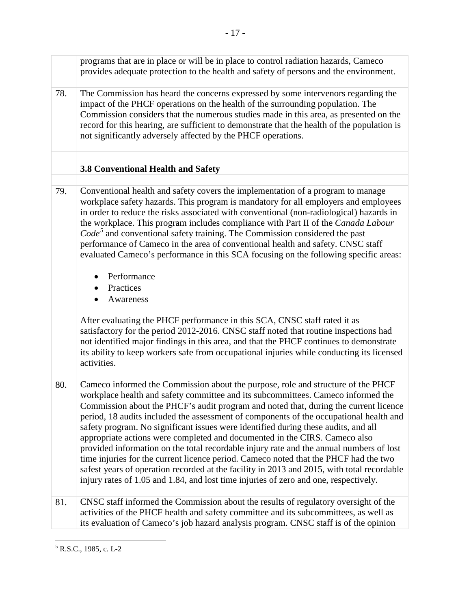<span id="page-22-0"></span>

| programs that are in place or will be in place to control radiation hazards, Cameco<br>provides adequate protection to the health and safety of persons and the environment.<br>78.<br>The Commission has heard the concerns expressed by some intervenors regarding the<br>impact of the PHCF operations on the health of the surrounding population. The<br>not significantly adversely affected by the PHCF operations.<br>3.8 Conventional Health and Safety<br>Conventional health and safety covers the implementation of a program to manage<br>79.<br>the workplace. This program includes compliance with Part II of the Canada Labour<br>$Code5$ and conventional safety training. The Commission considered the past<br>performance of Cameco in the area of conventional health and safety. CNSC staff<br>Performance<br>$\bullet$<br>Practices<br>Awareness<br>$\bullet$<br>After evaluating the PHCF performance in this SCA, CNSC staff rated it as<br>satisfactory for the period 2012-2016. CNSC staff noted that routine inspections had<br>not identified major findings in this area, and that the PHCF continues to demonstrate<br>activities.<br>Cameco informed the Commission about the purpose, role and structure of the PHCF<br>80.<br>workplace health and safety committee and its subcommittees. Cameco informed the<br>safety program. No significant issues were identified during these audits, and all<br>appropriate actions were completed and documented in the CIRS. Cameco also<br>time injuries for the current licence period. Cameco noted that the PHCF had the two<br>injury rates of 1.05 and 1.84, and lost time injuries of zero and one, respectively. |                                                                                                                                                                                                                                                                                                                                                                         |
|--------------------------------------------------------------------------------------------------------------------------------------------------------------------------------------------------------------------------------------------------------------------------------------------------------------------------------------------------------------------------------------------------------------------------------------------------------------------------------------------------------------------------------------------------------------------------------------------------------------------------------------------------------------------------------------------------------------------------------------------------------------------------------------------------------------------------------------------------------------------------------------------------------------------------------------------------------------------------------------------------------------------------------------------------------------------------------------------------------------------------------------------------------------------------------------------------------------------------------------------------------------------------------------------------------------------------------------------------------------------------------------------------------------------------------------------------------------------------------------------------------------------------------------------------------------------------------------------------------------------------------------------------------------------------------------------------------|-------------------------------------------------------------------------------------------------------------------------------------------------------------------------------------------------------------------------------------------------------------------------------------------------------------------------------------------------------------------------|
|                                                                                                                                                                                                                                                                                                                                                                                                                                                                                                                                                                                                                                                                                                                                                                                                                                                                                                                                                                                                                                                                                                                                                                                                                                                                                                                                                                                                                                                                                                                                                                                                                                                                                                        |                                                                                                                                                                                                                                                                                                                                                                         |
|                                                                                                                                                                                                                                                                                                                                                                                                                                                                                                                                                                                                                                                                                                                                                                                                                                                                                                                                                                                                                                                                                                                                                                                                                                                                                                                                                                                                                                                                                                                                                                                                                                                                                                        | Commission considers that the numerous studies made in this area, as presented on the<br>record for this hearing, are sufficient to demonstrate that the health of the population is                                                                                                                                                                                    |
|                                                                                                                                                                                                                                                                                                                                                                                                                                                                                                                                                                                                                                                                                                                                                                                                                                                                                                                                                                                                                                                                                                                                                                                                                                                                                                                                                                                                                                                                                                                                                                                                                                                                                                        |                                                                                                                                                                                                                                                                                                                                                                         |
|                                                                                                                                                                                                                                                                                                                                                                                                                                                                                                                                                                                                                                                                                                                                                                                                                                                                                                                                                                                                                                                                                                                                                                                                                                                                                                                                                                                                                                                                                                                                                                                                                                                                                                        |                                                                                                                                                                                                                                                                                                                                                                         |
|                                                                                                                                                                                                                                                                                                                                                                                                                                                                                                                                                                                                                                                                                                                                                                                                                                                                                                                                                                                                                                                                                                                                                                                                                                                                                                                                                                                                                                                                                                                                                                                                                                                                                                        | workplace safety hazards. This program is mandatory for all employers and employees<br>in order to reduce the risks associated with conventional (non-radiological) hazards in<br>evaluated Cameco's performance in this SCA focusing on the following specific areas:                                                                                                  |
|                                                                                                                                                                                                                                                                                                                                                                                                                                                                                                                                                                                                                                                                                                                                                                                                                                                                                                                                                                                                                                                                                                                                                                                                                                                                                                                                                                                                                                                                                                                                                                                                                                                                                                        | its ability to keep workers safe from occupational injuries while conducting its licensed                                                                                                                                                                                                                                                                               |
|                                                                                                                                                                                                                                                                                                                                                                                                                                                                                                                                                                                                                                                                                                                                                                                                                                                                                                                                                                                                                                                                                                                                                                                                                                                                                                                                                                                                                                                                                                                                                                                                                                                                                                        | Commission about the PHCF's audit program and noted that, during the current licence<br>period, 18 audits included the assessment of components of the occupational health and<br>provided information on the total recordable injury rate and the annual numbers of lost<br>safest years of operation recorded at the facility in 2013 and 2015, with total recordable |
| CNSC staff informed the Commission about the results of regulatory oversight of the<br>81.<br>activities of the PHCF health and safety committee and its subcommittees, as well as<br>its evaluation of Cameco's job hazard analysis program. CNSC staff is of the opinion                                                                                                                                                                                                                                                                                                                                                                                                                                                                                                                                                                                                                                                                                                                                                                                                                                                                                                                                                                                                                                                                                                                                                                                                                                                                                                                                                                                                                             |                                                                                                                                                                                                                                                                                                                                                                         |

<span id="page-22-1"></span> $\overline{a}$  $5$  R.S.C., 1985, c. L-2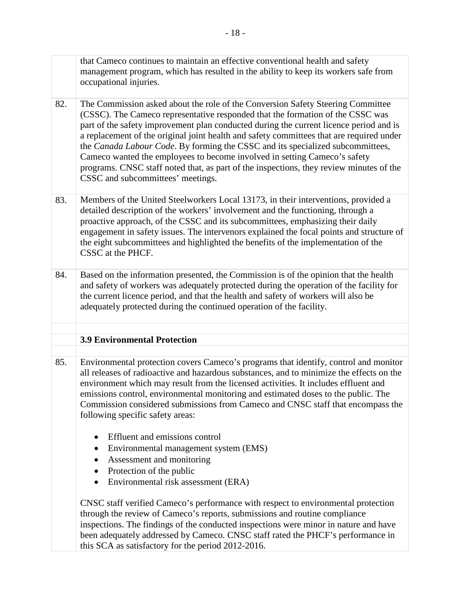<span id="page-23-0"></span>

|     | that Cameco continues to maintain an effective conventional health and safety<br>management program, which has resulted in the ability to keep its workers safe from<br>occupational injuries.                                                                                                                                                                                                                                                                                                                                                                                                                                                         |
|-----|--------------------------------------------------------------------------------------------------------------------------------------------------------------------------------------------------------------------------------------------------------------------------------------------------------------------------------------------------------------------------------------------------------------------------------------------------------------------------------------------------------------------------------------------------------------------------------------------------------------------------------------------------------|
| 82. | The Commission asked about the role of the Conversion Safety Steering Committee<br>(CSSC). The Cameco representative responded that the formation of the CSSC was<br>part of the safety improvement plan conducted during the current licence period and is<br>a replacement of the original joint health and safety committees that are required under<br>the Canada Labour Code. By forming the CSSC and its specialized subcommittees,<br>Cameco wanted the employees to become involved in setting Cameco's safety<br>programs. CNSC staff noted that, as part of the inspections, they review minutes of the<br>CSSC and subcommittees' meetings. |
| 83. | Members of the United Steelworkers Local 13173, in their interventions, provided a<br>detailed description of the workers' involvement and the functioning, through a<br>proactive approach, of the CSSC and its subcommittees, emphasizing their daily<br>engagement in safety issues. The intervenors explained the focal points and structure of<br>the eight subcommittees and highlighted the benefits of the implementation of the<br>CSSC at the PHCF.                                                                                                                                                                                          |
| 84. | Based on the information presented, the Commission is of the opinion that the health<br>and safety of workers was adequately protected during the operation of the facility for<br>the current licence period, and that the health and safety of workers will also be<br>adequately protected during the continued operation of the facility.                                                                                                                                                                                                                                                                                                          |
|     | <b>3.9 Environmental Protection</b>                                                                                                                                                                                                                                                                                                                                                                                                                                                                                                                                                                                                                    |
|     |                                                                                                                                                                                                                                                                                                                                                                                                                                                                                                                                                                                                                                                        |
| 85. | Environmental protection covers Cameco's programs that identify, control and monitor<br>all releases of radioactive and hazardous substances, and to minimize the effects on the<br>environment which may result from the licensed activities. It includes effluent and<br>emissions control, environmental monitoring and estimated doses to the public. The<br>Commission considered submissions from Cameco and CNSC staff that encompass the<br>following specific safety areas:                                                                                                                                                                   |
|     | Effluent and emissions control<br>$\bullet$                                                                                                                                                                                                                                                                                                                                                                                                                                                                                                                                                                                                            |
|     | Environmental management system (EMS)<br>$\bullet$                                                                                                                                                                                                                                                                                                                                                                                                                                                                                                                                                                                                     |
|     | Assessment and monitoring<br>٠<br>Protection of the public                                                                                                                                                                                                                                                                                                                                                                                                                                                                                                                                                                                             |
|     | Environmental risk assessment (ERA)<br>$\bullet$                                                                                                                                                                                                                                                                                                                                                                                                                                                                                                                                                                                                       |
|     | CNSC staff verified Cameco's performance with respect to environmental protection<br>through the review of Cameco's reports, submissions and routine compliance<br>inspections. The findings of the conducted inspections were minor in nature and have<br>been adequately addressed by Cameco. CNSC staff rated the PHCF's performance in<br>this SCA as satisfactory for the period 2012-2016.                                                                                                                                                                                                                                                       |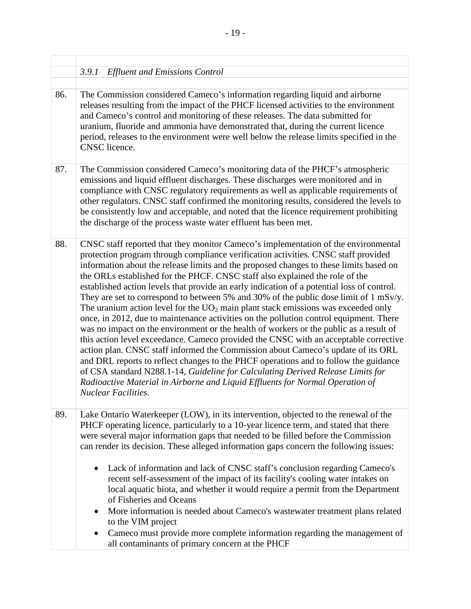<span id="page-24-0"></span>

|     | 3.9.1<br><b>Effluent and Emissions Control</b>                                                                                                                                                                                                                                                                                                                                                                                                                                                                                                                                                                                                                                                                                                                                                                                                                                                                                                                                                                                                                                                                                                                                                                                                                                              |
|-----|---------------------------------------------------------------------------------------------------------------------------------------------------------------------------------------------------------------------------------------------------------------------------------------------------------------------------------------------------------------------------------------------------------------------------------------------------------------------------------------------------------------------------------------------------------------------------------------------------------------------------------------------------------------------------------------------------------------------------------------------------------------------------------------------------------------------------------------------------------------------------------------------------------------------------------------------------------------------------------------------------------------------------------------------------------------------------------------------------------------------------------------------------------------------------------------------------------------------------------------------------------------------------------------------|
| 86. | The Commission considered Cameco's information regarding liquid and airborne<br>releases resulting from the impact of the PHCF licensed activities to the environment<br>and Cameco's control and monitoring of these releases. The data submitted for<br>uranium, fluoride and ammonia have demonstrated that, during the current licence<br>period, releases to the environment were well below the release limits specified in the<br><b>CNSC</b> licence.                                                                                                                                                                                                                                                                                                                                                                                                                                                                                                                                                                                                                                                                                                                                                                                                                               |
| 87. | The Commission considered Cameco's monitoring data of the PHCF's atmospheric<br>emissions and liquid effluent discharges. These discharges were monitored and in<br>compliance with CNSC regulatory requirements as well as applicable requirements of<br>other regulators. CNSC staff confirmed the monitoring results, considered the levels to<br>be consistently low and acceptable, and noted that the licence requirement prohibiting<br>the discharge of the process waste water effluent has been met.                                                                                                                                                                                                                                                                                                                                                                                                                                                                                                                                                                                                                                                                                                                                                                              |
| 88. | CNSC staff reported that they monitor Cameco's implementation of the environmental<br>protection program through compliance verification activities. CNSC staff provided<br>information about the release limits and the proposed changes to these limits based on<br>the ORLs established for the PHCF. CNSC staff also explained the role of the<br>established action levels that provide an early indication of a potential loss of control.<br>They are set to correspond to between 5% and 30% of the public dose limit of 1 mSv/y.<br>The uranium action level for the $UO_2$ main plant stack emissions was exceeded only<br>once, in 2012, due to maintenance activities on the pollution control equipment. There<br>was no impact on the environment or the health of workers or the public as a result of<br>this action level exceedance. Cameco provided the CNSC with an acceptable corrective<br>action plan. CNSC staff informed the Commission about Cameco's update of its ORL<br>and DRL reports to reflect changes to the PHCF operations and to follow the guidance<br>of CSA standard N288.1-14, Guideline for Calculating Derived Release Limits for<br>Radioactive Material in Airborne and Liquid Effluents for Normal Operation of<br><b>Nuclear Facilities.</b> |
| 89. | Lake Ontario Waterkeeper (LOW), in its intervention, objected to the renewal of the<br>PHCF operating licence, particularly to a 10-year licence term, and stated that there<br>were several major information gaps that needed to be filled before the Commission<br>can render its decision. These alleged information gaps concern the following issues:<br>Lack of information and lack of CNSC staff's conclusion regarding Cameco's<br>$\bullet$<br>recent self-assessment of the impact of its facility's cooling water intakes on<br>local aquatic biota, and whether it would require a permit from the Department<br>of Fisheries and Oceans<br>More information is needed about Cameco's wastewater treatment plans related<br>٠<br>to the VIM project<br>Cameco must provide more complete information regarding the management of<br>$\bullet$<br>all contaminants of primary concern at the PHCF                                                                                                                                                                                                                                                                                                                                                                              |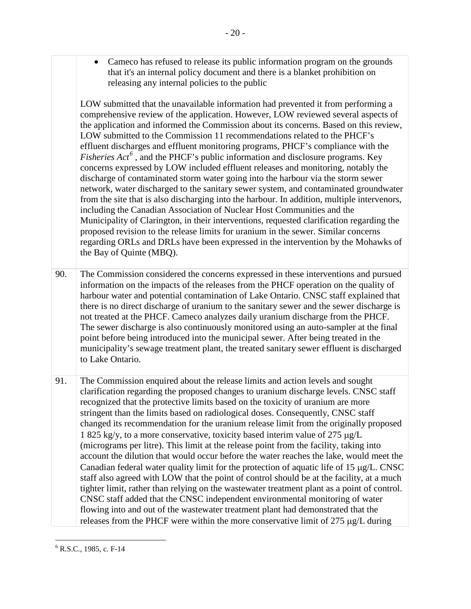• Cameco has refused to release its public information program on the grounds that it's an internal policy document and there is a blanket prohibition on releasing any internal policies to the public

 LOW submitted that the unavailable information had prevented it from performing a effluent discharges and effluent monitoring programs, PHCF's compliance with the concerns expressed by LOW included effluent releases and monitoring, notably the discharge of contaminated storm water going into the harbour via the storm sewer proposed revision to the release limits for uranium in the sewer. Similar concerns comprehensive review of the application. However, LOW reviewed several aspects of the application and informed the Commission about its concerns. Based on this review, LOW submitted to the Commission 11 recommendations related to the PHCF's *Fisheries Act[6](#page-25-0)* , and the PHCF's public information and disclosure programs. Key network, water discharged to the sanitary sewer system, and contaminated groundwater from the site that is also discharging into the harbour. In addition, multiple intervenors, including the Canadian Association of Nuclear Host Communities and the Municipality of Clarington, in their interventions, requested clarification regarding the regarding ORLs and DRLs have been expressed in the intervention by the Mohawks of the Bay of Quinte (MBQ).

 there is no direct discharge of uranium to the sanitary sewer and the sewer discharge is The sewer discharge is also continuously monitored using an auto-sampler at the final to Lake Ontario. 90. The Commission considered the concerns expressed in these interventions and pursued information on the impacts of the releases from the PHCF operation on the quality of harbour water and potential contamination of Lake Ontario. CNSC staff explained that not treated at the PHCF. Cameco analyzes daily uranium discharge from the PHCF. point before being introduced into the municipal sewer. After being treated in the municipality's sewage treatment plant, the treated sanitary sewer effluent is discharged

 staff also agreed with LOW that the point of control should be at the facility, at a much 91. The Commission enquired about the release limits and action levels and sought clarification regarding the proposed changes to uranium discharge levels. CNSC staff recognized that the protective limits based on the toxicity of uranium are more stringent than the limits based on radiological doses. Consequently, CNSC staff changed its recommendation for the uranium release limit from the originally proposed 1 825 kg/y, to a more conservative, toxicity based interim value of 275 µg/L (micrograms per litre). This limit at the release point from the facility, taking into account the dilution that would occur before the water reaches the lake, would meet the Canadian federal water quality limit for the protection of aquatic life of 15  $\mu$ g/L. CNSC tighter limit, rather than relying on the wastewater treatment plant as a point of control. CNSC staff added that the CNSC independent environmental monitoring of water flowing into and out of the wastewater treatment plant had demonstrated that the releases from the PHCF were within the more conservative limit of 275 µg/L during

<span id="page-25-0"></span> $\overline{a}$  $6$  R.S.C., 1985, c. F-14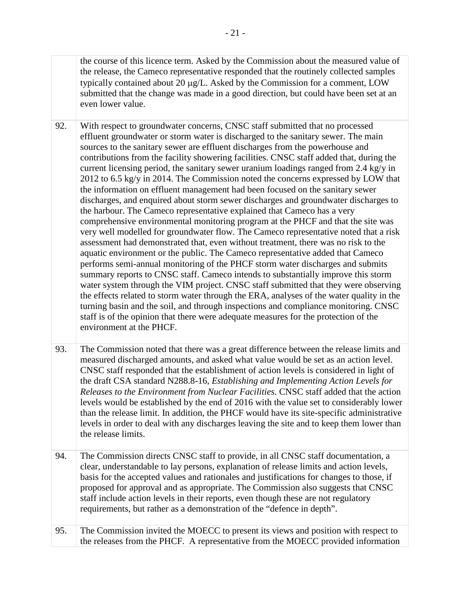the course of this licence term. Asked by the Commission about the measured value of the release, the Cameco representative responded that the routinely collected samples typically contained about 20 µg/L. Asked by the Commission for a comment, LOW submitted that the change was made in a good direction, but could have been set at an even lower value.

- contributions from the facility showering facilities. CNSC staff added that, during the 2012 to 6.5 kg/y in 2014. The Commission noted the concerns expressed by LOW that discharges, and enquired about storm sewer discharges and groundwater discharges to comprehensive environmental monitoring program at the PHCF and that the site was very well modelled for groundwater flow. The Cameco representative noted that a risk performs semi-annual monitoring of the PHCF storm water discharges and submits the effects related to storm water through the ERA, analyses of the water quality in the 92. With respect to groundwater concerns, CNSC staff submitted that no processed effluent groundwater or storm water is discharged to the sanitary sewer. The main sources to the sanitary sewer are effluent discharges from the powerhouse and current licensing period, the sanitary sewer uranium loadings ranged from  $2.4 \text{ kg/y}$  in the information on effluent management had been focused on the sanitary sewer the harbour. The Cameco representative explained that Cameco has a very assessment had demonstrated that, even without treatment, there was no risk to the aquatic environment or the public. The Cameco representative added that Cameco summary reports to CNSC staff. Cameco intends to substantially improve this storm water system through the VIM project. CNSC staff submitted that they were observing turning basin and the soil, and through inspections and compliance monitoring. CNSC staff is of the opinion that there were adequate measures for the protection of the environment at the PHCF.
- measured discharged amounts, and asked what value would be set as an action level. CNSC staff responded that the establishment of action levels is considered in light of levels in order to deal with any discharges leaving the site and to keep them lower than 93. The Commission noted that there was a great difference between the release limits and the draft CSA standard N288.8-16, *Establishing and Implementing Action Levels for Releases to the Environment from Nuclear Facilities*. CNSC staff added that the action levels would be established by the end of 2016 with the value set to considerably lower than the release limit. In addition, the PHCF would have its site-specific administrative the release limits.
- proposed for approval and as appropriate. The Commission also suggests that CNSC staff include action levels in their reports, even though these are not regulatory 94. The Commission directs CNSC staff to provide, in all CNSC staff documentation, a clear, understandable to lay persons, explanation of release limits and action levels, basis for the accepted values and rationales and justifications for changes to those, if requirements, but rather as a demonstration of the "defence in depth".
- 95. The Commission invited the MOECC to present its views and position with respect to the releases from the PHCF. A representative from the MOECC provided information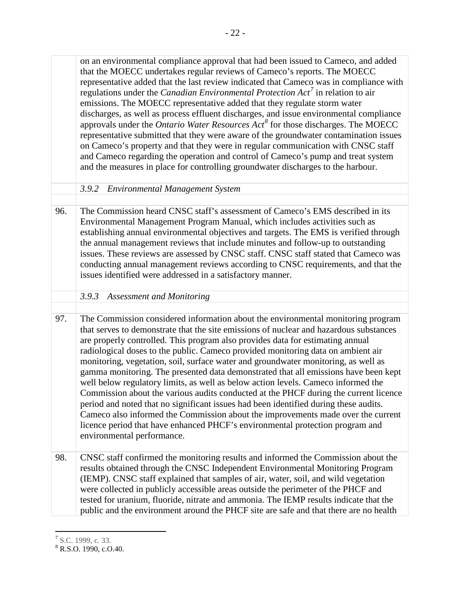<span id="page-27-0"></span> that the MOECC undertakes regular reviews of Cameco's reports. The MOECC discharges, as well as process effluent discharges, and issue environmental compliance approvals under the *Ontario Water Resources Act[8](#page-27-3)* for those discharges. The MOECC on Cameco's property and that they were in regular communication with CNSC staff Environmental Management Program Manual, which includes activities such as the annual management reviews that include minutes and follow-up to outstanding issues. These reviews are assessed by CNSC staff. CNSC staff stated that Cameco was conducting annual management reviews according to CNSC requirements, and that the issues identified were addressed in a satisfactory manner. radiological doses to the public. Cameco provided monitoring data on ambient air monitoring, vegetation, soil, surface water and groundwater monitoring, as well as Cameco also informed the Commission about the improvements made over the current on an environmental compliance approval that had been issued to Cameco, and added representative added that the last review indicated that Cameco was in compliance with regulations under the *Canadian Environmental Protection Act[7](#page-27-2)* in relation to air emissions. The MOECC representative added that they regulate storm water representative submitted that they were aware of the groundwater contamination issues and Cameco regarding the operation and control of Cameco's pump and treat system and the measures in place for controlling groundwater discharges to the harbour. *3.9.2 Environmental Management System*  96. The Commission heard CNSC staff's assessment of Cameco's EMS described in its establishing annual environmental objectives and targets. The EMS is verified through *3.9.3 Assessment and Monitoring*  97. The Commission considered information about the environmental monitoring program that serves to demonstrate that the site emissions of nuclear and hazardous substances are properly controlled. This program also provides data for estimating annual gamma monitoring. The presented data demonstrated that all emissions have been kept well below regulatory limits, as well as below action levels. Cameco informed the Commission about the various audits conducted at the PHCF during the current licence period and noted that no significant issues had been identified during these audits. licence period that have enhanced PHCF's environmental protection program and environmental performance. 98. CNSC staff confirmed the monitoring results and informed the Commission about the results obtained through the CNSC Independent Environmental Monitoring Program (IEMP). CNSC staff explained that samples of air, water, soil, and wild vegetation were collected in publicly accessible areas outside the perimeter of the PHCF and tested for uranium, fluoride, nitrate and ammonia. The IEMP results indicate that the

<span id="page-27-1"></span>public and the environment around the PHCF site are safe and that there are no health

<span id="page-27-2"></span> $^7$  S.C. 1999, c. 33.

<span id="page-27-3"></span> $8$  R.S.O. 1990, c.O.40.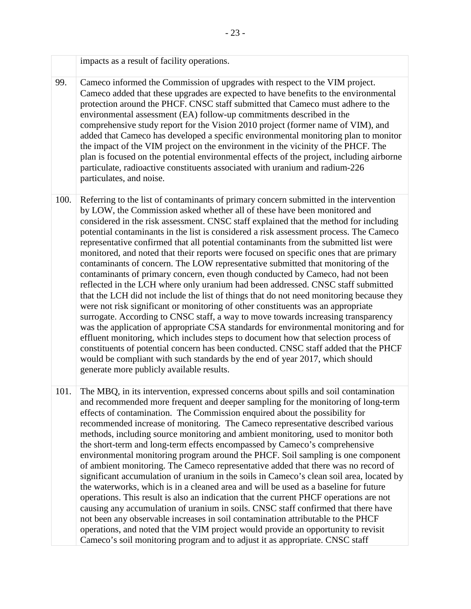|      | impacts as a result of facility operations.                                                                                                                                                                                                                                                                                                                                                                                                                                                                                                                                                                                                                                                                                                                                                                                                                                                                                                                                                                                                                                                                                                                                                                                                                                                                                                                                                                                                                                   |
|------|-------------------------------------------------------------------------------------------------------------------------------------------------------------------------------------------------------------------------------------------------------------------------------------------------------------------------------------------------------------------------------------------------------------------------------------------------------------------------------------------------------------------------------------------------------------------------------------------------------------------------------------------------------------------------------------------------------------------------------------------------------------------------------------------------------------------------------------------------------------------------------------------------------------------------------------------------------------------------------------------------------------------------------------------------------------------------------------------------------------------------------------------------------------------------------------------------------------------------------------------------------------------------------------------------------------------------------------------------------------------------------------------------------------------------------------------------------------------------------|
| 99.  | Cameco informed the Commission of upgrades with respect to the VIM project.<br>Cameco added that these upgrades are expected to have benefits to the environmental<br>protection around the PHCF. CNSC staff submitted that Cameco must adhere to the<br>environmental assessment (EA) follow-up commitments described in the<br>comprehensive study report for the Vision 2010 project (former name of VIM), and<br>added that Cameco has developed a specific environmental monitoring plan to monitor<br>the impact of the VIM project on the environment in the vicinity of the PHCF. The<br>plan is focused on the potential environmental effects of the project, including airborne<br>particulate, radioactive constituents associated with uranium and radium-226<br>particulates, and noise.                                                                                                                                                                                                                                                                                                                                                                                                                                                                                                                                                                                                                                                                        |
| 100. | Referring to the list of contaminants of primary concern submitted in the intervention<br>by LOW, the Commission asked whether all of these have been monitored and<br>considered in the risk assessment. CNSC staff explained that the method for including<br>potential contaminants in the list is considered a risk assessment process. The Cameco<br>representative confirmed that all potential contaminants from the submitted list were<br>monitored, and noted that their reports were focused on specific ones that are primary<br>contaminants of concern. The LOW representative submitted that monitoring of the<br>contaminants of primary concern, even though conducted by Cameco, had not been<br>reflected in the LCH where only uranium had been addressed. CNSC staff submitted<br>that the LCH did not include the list of things that do not need monitoring because they<br>were not risk significant or monitoring of other constituents was an appropriate<br>surrogate. According to CNSC staff, a way to move towards increasing transparency<br>was the application of appropriate CSA standards for environmental monitoring and for<br>effluent monitoring, which includes steps to document how that selection process of<br>constituents of potential concern has been conducted. CNSC staff added that the PHCF<br>would be compliant with such standards by the end of year 2017, which should<br>generate more publicly available results. |
| 101. | The MBQ, in its intervention, expressed concerns about spills and soil contamination<br>and recommended more frequent and deeper sampling for the monitoring of long-term<br>effects of contamination. The Commission enquired about the possibility for<br>recommended increase of monitoring. The Cameco representative described various<br>methods, including source monitoring and ambient monitoring, used to monitor both<br>the short-term and long-term effects encompassed by Cameco's comprehensive<br>environmental monitoring program around the PHCF. Soil sampling is one component<br>of ambient monitoring. The Cameco representative added that there was no record of<br>significant accumulation of uranium in the soils in Cameco's clean soil area, located by<br>the waterworks, which is in a cleaned area and will be used as a baseline for future<br>operations. This result is also an indication that the current PHCF operations are not<br>causing any accumulation of uranium in soils. CNSC staff confirmed that there have<br>not been any observable increases in soil contamination attributable to the PHCF<br>operations, and noted that the VIM project would provide an opportunity to revisit<br>Cameco's soil monitoring program and to adjust it as appropriate. CNSC staff                                                                                                                                                        |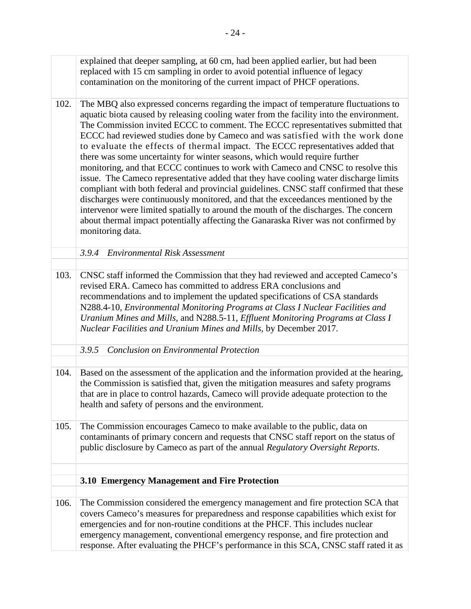<span id="page-29-2"></span><span id="page-29-1"></span><span id="page-29-0"></span> 102. The MBQ also expressed concerns regarding the impact of temperature fluctuations to aquatic biota caused by releasing cooling water from the facility into the environment. ECCC had reviewed studies done by Cameco and was satisfied with the work done to evaluate the effects of thermal impact. The ECCC representatives added that there was some uncertainty for winter seasons, which would require further issue. The Cameco representative added that they have cooling water discharge limits about thermal impact potentially affecting the Ganaraska River was not confirmed by recommendations and to implement the updated specifications of CSA standards  *Uranium Mines and Mills,* and N288.5-11, *Effluent Monitoring Programs at Class I*  the Commission is satisfied that, given the mitigation measures and safety programs explained that deeper sampling, at 60 cm, had been applied earlier, but had been replaced with 15 cm sampling in order to avoid potential influence of legacy contamination on the monitoring of the current impact of PHCF operations. The Commission invited ECCC to comment. The ECCC representatives submitted that monitoring, and that ECCC continues to work with Cameco and CNSC to resolve this compliant with both federal and provincial guidelines. CNSC staff confirmed that these discharges were continuously monitored, and that the exceedances mentioned by the intervenor were limited spatially to around the mouth of the discharges. The concern monitoring data. *3.9.4 Environmental Risk Assessment*  103. CNSC staff informed the Commission that they had reviewed and accepted Cameco's revised ERA. Cameco has committed to address ERA conclusions and N288.4-10, *Environmental Monitoring Programs at Class I Nuclear Facilities and Nuclear Facilities and Uranium Mines and Mills*, by December 2017. *3.9.5 Conclusion on Environmental Protection*  104. Based on the assessment of the application and the information provided at the hearing, that are in place to control hazards, Cameco will provide adequate protection to the health and safety of persons and the environment. 105. The Commission encourages Cameco to make available to the public, data on contaminants of primary concern and requests that CNSC staff report on the status of public disclosure by Cameco as part of the annual *Regulatory Oversight Reports*. **3.10 Emergency Management and Fire Protection**  The Commission considered the emergency management and fire protection SCA that covers Cameco's measures for preparedness and response capabilities which exist for emergencies and for non-routine conditions at the PHCF. This includes nuclear emergency management, conventional emergency response, and fire protection and response. After evaluating the PHCF's performance in this SCA, CNSC staff rated it as 106.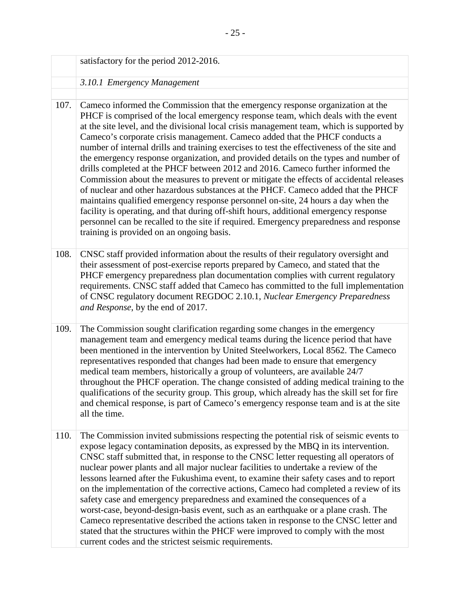<span id="page-30-0"></span>

|      | satisfactory for the period 2012-2016.                                                                                                                                                                                                                                                                                                                                                                                                                                                                                                                                                                                                                                                                                                                                                                                                                                                                                                                                                                                                                                                                                         |
|------|--------------------------------------------------------------------------------------------------------------------------------------------------------------------------------------------------------------------------------------------------------------------------------------------------------------------------------------------------------------------------------------------------------------------------------------------------------------------------------------------------------------------------------------------------------------------------------------------------------------------------------------------------------------------------------------------------------------------------------------------------------------------------------------------------------------------------------------------------------------------------------------------------------------------------------------------------------------------------------------------------------------------------------------------------------------------------------------------------------------------------------|
|      | 3.10.1 Emergency Management                                                                                                                                                                                                                                                                                                                                                                                                                                                                                                                                                                                                                                                                                                                                                                                                                                                                                                                                                                                                                                                                                                    |
|      |                                                                                                                                                                                                                                                                                                                                                                                                                                                                                                                                                                                                                                                                                                                                                                                                                                                                                                                                                                                                                                                                                                                                |
| 107. | Cameco informed the Commission that the emergency response organization at the<br>PHCF is comprised of the local emergency response team, which deals with the event<br>at the site level, and the divisional local crisis management team, which is supported by<br>Cameco's corporate crisis management. Cameco added that the PHCF conducts a<br>number of internal drills and training exercises to test the effectiveness of the site and<br>the emergency response organization, and provided details on the types and number of<br>drills completed at the PHCF between 2012 and 2016. Cameco further informed the<br>Commission about the measures to prevent or mitigate the effects of accidental releases<br>of nuclear and other hazardous substances at the PHCF. Cameco added that the PHCF<br>maintains qualified emergency response personnel on-site, 24 hours a day when the<br>facility is operating, and that during off-shift hours, additional emergency response<br>personnel can be recalled to the site if required. Emergency preparedness and response<br>training is provided on an ongoing basis. |
| 108. | CNSC staff provided information about the results of their regulatory oversight and<br>their assessment of post-exercise reports prepared by Cameco, and stated that the<br>PHCF emergency preparedness plan documentation complies with current regulatory<br>requirements. CNSC staff added that Cameco has committed to the full implementation<br>of CNSC regulatory document REGDOC 2.10.1, Nuclear Emergency Preparedness<br>and Response, by the end of 2017.                                                                                                                                                                                                                                                                                                                                                                                                                                                                                                                                                                                                                                                           |
| 109. | The Commission sought clarification regarding some changes in the emergency<br>management team and emergency medical teams during the licence period that have<br>been mentioned in the intervention by United Steelworkers, Local 8562. The Cameco<br>representatives responded that changes had been made to ensure that emergency<br>medical team members, historically a group of volunteers, are available 24/7<br>throughout the PHCF operation. The change consisted of adding medical training to the<br>qualifications of the security group. This group, which already has the skill set for fire<br>and chemical response, is part of Cameco's emergency response team and is at the site<br>all the time.                                                                                                                                                                                                                                                                                                                                                                                                          |
| 110. | The Commission invited submissions respecting the potential risk of seismic events to<br>expose legacy contamination deposits, as expressed by the MBQ in its intervention.<br>CNSC staff submitted that, in response to the CNSC letter requesting all operators of<br>nuclear power plants and all major nuclear facilities to undertake a review of the<br>lessons learned after the Fukushima event, to examine their safety cases and to report<br>on the implementation of the corrective actions, Cameco had completed a review of its<br>safety case and emergency preparedness and examined the consequences of a<br>worst-case, beyond-design-basis event, such as an earthquake or a plane crash. The<br>Cameco representative described the actions taken in response to the CNSC letter and<br>stated that the structures within the PHCF were improved to comply with the most<br>current codes and the strictest seismic requirements.                                                                                                                                                                          |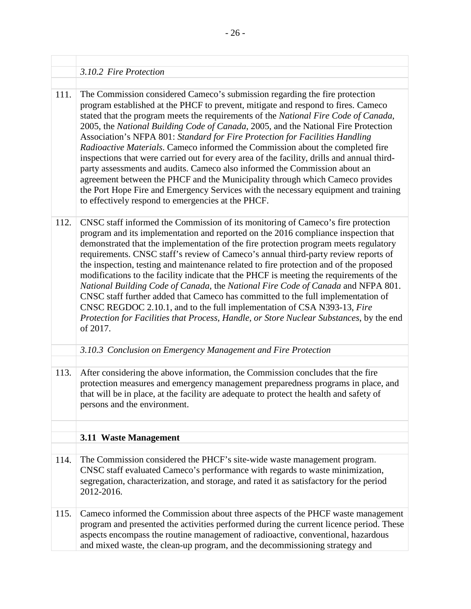#### <span id="page-31-0"></span>*3.10.2 Fire Protection*

 inspections that were carried out for every area of the facility, drills and annual third- the Port Hope Fire and Emergency Services with the necessary equipment and training to effectively respond to emergencies at the PHCF. The Commission considered Cameco's submission regarding the fire protection program established at the PHCF to prevent, mitigate and respond to fires. Cameco stated that the program meets the requirements of the *National Fire Code of Canada*, 2005, the *National Building Code of Canada*, 2005, and the National Fire Protection Association's NFPA 801: *Standard for Fire Protection for Facilities Handling Radioactive Materials*. Cameco informed the Commission about the completed fire party assessments and audits. Cameco also informed the Commission about an agreement between the PHCF and the Municipality through which Cameco provides 111.

- demonstrated that the implementation of the fire protection program meets regulatory the inspection, testing and maintenance related to fire protection and of the proposed modifications to the facility indicate that the PHCF is meeting the requirements of the CNSC staff informed the Commission of its monitoring of Cameco's fire protection program and its implementation and reported on the 2016 compliance inspection that requirements. CNSC staff's review of Cameco's annual third-party review reports of *National Building Code of Canada*, the *National Fire Code of Canada* and NFPA 801. CNSC staff further added that Cameco has committed to the full implementation of CNSC REGDOC 2.10.1, and to the full implementation of CSA N393-13, *Fire Protection for Facilities that Process, Handle, or Store Nuclear Substances*, by the end of 2017. 112.
	- *3.10.3 Conclusion on Emergency Management and Fire Protection*
- <span id="page-31-1"></span>After considering the above information, the Commission concludes that the fire protection measures and emergency management preparedness programs in place, and that will be in place, at the facility are adequate to protect the health and safety of persons and the environment. 113.

#### <span id="page-31-2"></span>**3.11 Waste Management**

- The Commission considered the PHCF's site-wide waste management program. CNSC staff evaluated Cameco's performance with regards to waste minimization, segregation, characterization, and storage, and rated it as satisfactory for the period 2012-2016. 114.
- and mixed waste, the clean-up program, and the decommissioning strategy and Cameco informed the Commission about three aspects of the PHCF waste management program and presented the activities performed during the current licence period. These aspects encompass the routine management of radioactive, conventional, hazardous 115.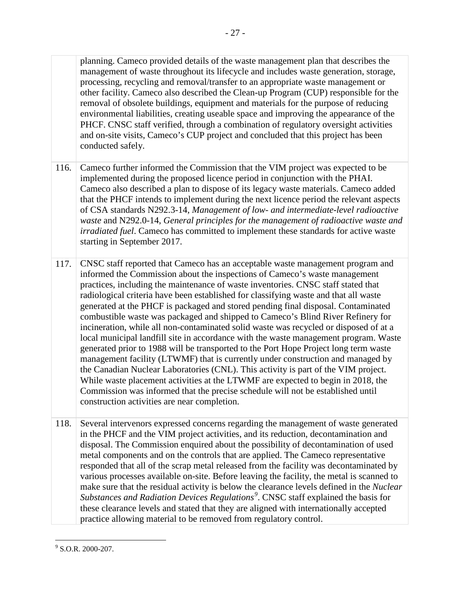removal of obsolete buildings, equipment and materials for the purpose of reducing planning. Cameco provided details of the waste management plan that describes the management of waste throughout its lifecycle and includes waste generation, storage, processing, recycling and removal/transfer to an appropriate waste management or other facility. Cameco also described the Clean-up Program (CUP) responsible for the environmental liabilities, creating useable space and improving the appearance of the PHCF. CNSC staff verified, through a combination of regulatory oversight activities and on-site visits, Cameco's CUP project and concluded that this project has been conducted safely.

- that the PHCF intends to implement during the next licence period the relevant aspects of CSA standards N292.3-14, *Management of low- and intermediate-level radioactive*  Cameco further informed the Commission that the VIM project was expected to be implemented during the proposed licence period in conjunction with the PHAI. Cameco also described a plan to dispose of its legacy waste materials. Cameco added *waste* and N292.0-14, *General principles for the management of radioactive waste and irradiated fuel*. Cameco has committed to implement these standards for active waste starting in September 2017. 116.
- management facility (LTWMF) that is currently under construction and managed by construction activities are near completion. CNSC staff reported that Cameco has an acceptable waste management program and informed the Commission about the inspections of Cameco's waste management practices, including the maintenance of waste inventories. CNSC staff stated that radiological criteria have been established for classifying waste and that all waste generated at the PHCF is packaged and stored pending final disposal. Contaminated combustible waste was packaged and shipped to Cameco's Blind River Refinery for incineration, while all non-contaminated solid waste was recycled or disposed of at a local municipal landfill site in accordance with the waste management program. Waste generated prior to 1988 will be transported to the Port Hope Project long term waste the Canadian Nuclear Laboratories (CNL). This activity is part of the VIM project. While waste placement activities at the LTWMF are expected to begin in 2018, the Commission was informed that the precise schedule will not be established until 117. CNSC staff reported that Cameco has an action informed the Commission about the inspect practices, including the maintenance of was radiological criteria have been established for generated at the PHCF is packaged and
- practice allowing material to be removed from regulatory control. Several intervenors expressed concerns regarding the management of waste generated in the PHCF and the VIM project activities, and its reduction, decontamination and disposal. The Commission enquired about the possibility of decontamination of used metal components and on the controls that are applied. The Cameco representative responded that all of the scrap metal released from the facility was decontaminated by various processes available on-site. Before leaving the facility, the metal is scanned to make sure that the residual activity is below the clearance levels defined in the *Nuclear Substances and Radiation Devices Regulations[9](#page-32-0)* . CNSC staff explained the basis for these clearance levels and stated that they are aligned with internationally accepted 118.

<span id="page-32-0"></span> $\overline{a}$  $9$  S.O.R. 2000-207.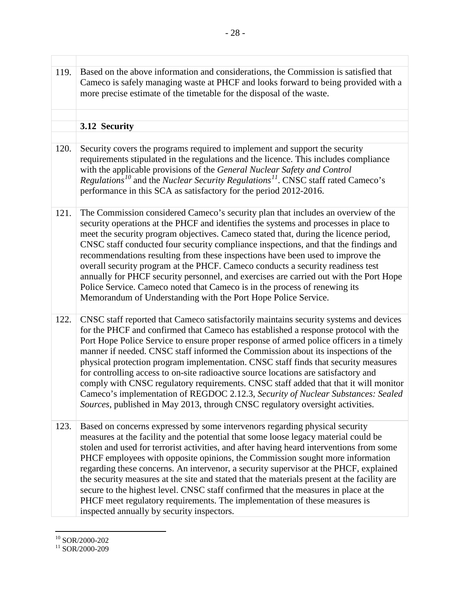<span id="page-33-0"></span>

| 119. | Based on the above information and considerations, the Commission is satisfied that<br>Cameco is safely managing waste at PHCF and looks forward to being provided with a<br>more precise estimate of the timetable for the disposal of the waste.                                                                                                                                                                                                                                                                                                                                                                                                                                                                                                                                                      |
|------|---------------------------------------------------------------------------------------------------------------------------------------------------------------------------------------------------------------------------------------------------------------------------------------------------------------------------------------------------------------------------------------------------------------------------------------------------------------------------------------------------------------------------------------------------------------------------------------------------------------------------------------------------------------------------------------------------------------------------------------------------------------------------------------------------------|
|      | 3.12 Security                                                                                                                                                                                                                                                                                                                                                                                                                                                                                                                                                                                                                                                                                                                                                                                           |
| 120. | Security covers the programs required to implement and support the security                                                                                                                                                                                                                                                                                                                                                                                                                                                                                                                                                                                                                                                                                                                             |
|      | requirements stipulated in the regulations and the licence. This includes compliance<br>with the applicable provisions of the General Nuclear Safety and Control<br><i>Regulations</i> <sup>10</sup> and the <i>Nuclear Security Regulations</i> <sup>11</sup> . CNSC staff rated Cameco's<br>performance in this SCA as satisfactory for the period 2012-2016.                                                                                                                                                                                                                                                                                                                                                                                                                                         |
| 121. | The Commission considered Cameco's security plan that includes an overview of the<br>security operations at the PHCF and identifies the systems and processes in place to<br>meet the security program objectives. Cameco stated that, during the licence period,<br>CNSC staff conducted four security compliance inspections, and that the findings and<br>recommendations resulting from these inspections have been used to improve the<br>overall security program at the PHCF. Cameco conducts a security readiness test<br>annually for PHCF security personnel, and exercises are carried out with the Port Hope<br>Police Service. Cameco noted that Cameco is in the process of renewing its<br>Memorandum of Understanding with the Port Hope Police Service.                                |
| 122. | CNSC staff reported that Cameco satisfactorily maintains security systems and devices<br>for the PHCF and confirmed that Cameco has established a response protocol with the<br>Port Hope Police Service to ensure proper response of armed police officers in a timely<br>manner if needed. CNSC staff informed the Commission about its inspections of the<br>physical protection program implementation. CNSC staff finds that security measures<br>for controlling access to on-site radioactive source locations are satisfactory and<br>comply with CNSC regulatory requirements. CNSC staff added that that it will monitor<br>Cameco's implementation of REGDOC 2.12.3, Security of Nuclear Substances: Sealed<br>Sources, published in May 2013, through CNSC regulatory oversight activities. |
| 123. | Based on concerns expressed by some intervenors regarding physical security<br>measures at the facility and the potential that some loose legacy material could be<br>stolen and used for terrorist activities, and after having heard interventions from some<br>PHCF employees with opposite opinions, the Commission sought more information<br>regarding these concerns. An intervenor, a security supervisor at the PHCF, explained<br>the security measures at the site and stated that the materials present at the facility are<br>secure to the highest level. CNSC staff confirmed that the measures in place at the<br>PHCF meet regulatory requirements. The implementation of these measures is<br>inspected annually by security inspectors.                                              |

 $\overline{a}$ 

<span id="page-33-2"></span><span id="page-33-1"></span> $\frac{^{10}}{^{11}}$  SOR/2000-202<br> $\frac{^{11}}{^{11}}$  SOR/2000-209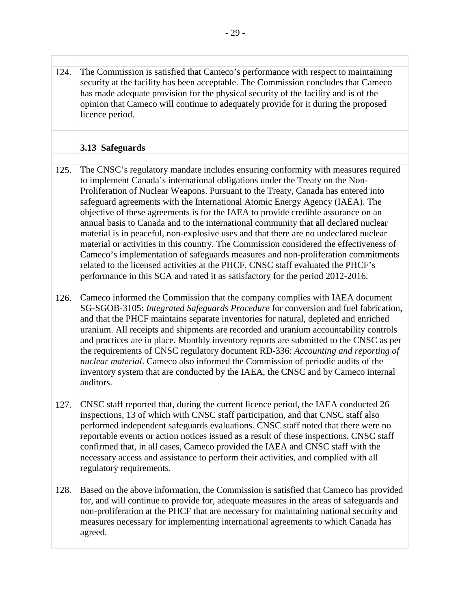<span id="page-34-0"></span>

| 124. | The Commission is satisfied that Cameco's performance with respect to maintaining<br>security at the facility has been acceptable. The Commission concludes that Cameco<br>has made adequate provision for the physical security of the facility and is of the<br>opinion that Cameco will continue to adequately provide for it during the proposed<br>licence period.                                                                                                                                                                                                                                                                                                                                                                                                                                                                                                                                                                                       |
|------|---------------------------------------------------------------------------------------------------------------------------------------------------------------------------------------------------------------------------------------------------------------------------------------------------------------------------------------------------------------------------------------------------------------------------------------------------------------------------------------------------------------------------------------------------------------------------------------------------------------------------------------------------------------------------------------------------------------------------------------------------------------------------------------------------------------------------------------------------------------------------------------------------------------------------------------------------------------|
|      | 3.13 Safeguards                                                                                                                                                                                                                                                                                                                                                                                                                                                                                                                                                                                                                                                                                                                                                                                                                                                                                                                                               |
|      |                                                                                                                                                                                                                                                                                                                                                                                                                                                                                                                                                                                                                                                                                                                                                                                                                                                                                                                                                               |
| 125. | The CNSC's regulatory mandate includes ensuring conformity with measures required<br>to implement Canada's international obligations under the Treaty on the Non-<br>Proliferation of Nuclear Weapons. Pursuant to the Treaty, Canada has entered into<br>safeguard agreements with the International Atomic Energy Agency (IAEA). The<br>objective of these agreements is for the IAEA to provide credible assurance on an<br>annual basis to Canada and to the international community that all declared nuclear<br>material is in peaceful, non-explosive uses and that there are no undeclared nuclear<br>material or activities in this country. The Commission considered the effectiveness of<br>Cameco's implementation of safeguards measures and non-proliferation commitments<br>related to the licensed activities at the PHCF. CNSC staff evaluated the PHCF's<br>performance in this SCA and rated it as satisfactory for the period 2012-2016. |
| 126. | Cameco informed the Commission that the company complies with IAEA document<br>SG-SGOB-3105: Integrated Safeguards Procedure for conversion and fuel fabrication,<br>and that the PHCF maintains separate inventories for natural, depleted and enriched<br>uranium. All receipts and shipments are recorded and uranium accountability controls<br>and practices are in place. Monthly inventory reports are submitted to the CNSC as per<br>the requirements of CNSC regulatory document RD-336: Accounting and reporting of<br>nuclear material. Cameco also informed the Commission of periodic audits of the<br>inventory system that are conducted by the IAEA, the CNSC and by Cameco internal<br>auditors.                                                                                                                                                                                                                                            |
| 127. | CNSC staff reported that, during the current licence period, the IAEA conducted 26<br>inspections, 13 of which with CNSC staff participation, and that CNSC staff also<br>performed independent safeguards evaluations. CNSC staff noted that there were no<br>reportable events or action notices issued as a result of these inspections. CNSC staff<br>confirmed that, in all cases, Cameco provided the IAEA and CNSC staff with the<br>necessary access and assistance to perform their activities, and complied with all<br>regulatory requirements.                                                                                                                                                                                                                                                                                                                                                                                                    |
| 128. | Based on the above information, the Commission is satisfied that Cameco has provided<br>for, and will continue to provide for, adequate measures in the areas of safeguards and<br>non-proliferation at the PHCF that are necessary for maintaining national security and<br>measures necessary for implementing international agreements to which Canada has<br>agreed.                                                                                                                                                                                                                                                                                                                                                                                                                                                                                                                                                                                      |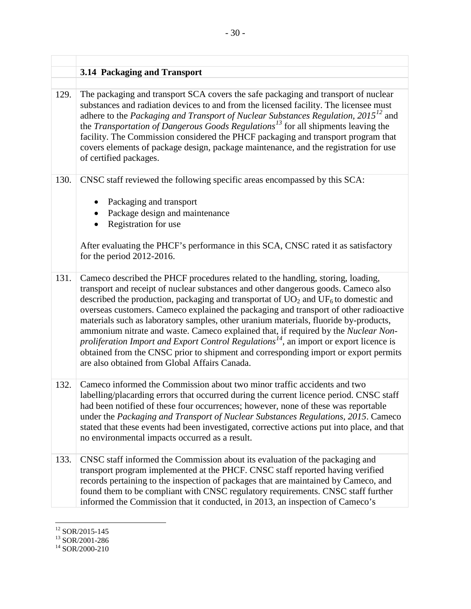<span id="page-35-0"></span>

|      | 3.14 Packaging and Transport                                                                                                                                                                                                                                                                                                                                                                                                                                                                                                                                                                                                                                                                                                                                                         |
|------|--------------------------------------------------------------------------------------------------------------------------------------------------------------------------------------------------------------------------------------------------------------------------------------------------------------------------------------------------------------------------------------------------------------------------------------------------------------------------------------------------------------------------------------------------------------------------------------------------------------------------------------------------------------------------------------------------------------------------------------------------------------------------------------|
| 129. | The packaging and transport SCA covers the safe packaging and transport of nuclear<br>substances and radiation devices to and from the licensed facility. The licensee must<br>adhere to the Packaging and Transport of Nuclear Substances Regulation, 2015 <sup>12</sup> and<br>the <i>Transportation of Dangerous Goods Regulations</i> <sup>13</sup> for all shipments leaving the<br>facility. The Commission considered the PHCF packaging and transport program that<br>covers elements of package design, package maintenance, and the registration for use<br>of certified packages.                                                                                                                                                                                         |
| 130. | CNSC staff reviewed the following specific areas encompassed by this SCA:<br>Packaging and transport<br>Package design and maintenance<br>Registration for use<br>After evaluating the PHCF's performance in this SCA, CNSC rated it as satisfactory<br>for the period $2012-2016$ .                                                                                                                                                                                                                                                                                                                                                                                                                                                                                                 |
| 131. | Cameco described the PHCF procedures related to the handling, storing, loading,<br>transport and receipt of nuclear substances and other dangerous goods. Cameco also<br>described the production, packaging and transportat of $UO2$ and $UF6$ to domestic and<br>overseas customers. Cameco explained the packaging and transport of other radioactive<br>materials such as laboratory samples, other uranium materials, fluoride by-products,<br>ammonium nitrate and waste. Cameco explained that, if required by the Nuclear Non-<br>proliferation Import and Export Control Regulations <sup>14</sup> , an import or export licence is<br>obtained from the CNSC prior to shipment and corresponding import or export permits<br>are also obtained from Global Affairs Canada. |
| 132. | Cameco informed the Commission about two minor traffic accidents and two<br>labelling/placarding errors that occurred during the current licence period. CNSC staff<br>had been notified of these four occurrences; however, none of these was reportable<br>under the Packaging and Transport of Nuclear Substances Regulations, 2015. Cameco<br>stated that these events had been investigated, corrective actions put into place, and that<br>no environmental impacts occurred as a result.                                                                                                                                                                                                                                                                                      |
| 133. | CNSC staff informed the Commission about its evaluation of the packaging and<br>transport program implemented at the PHCF. CNSC staff reported having verified<br>records pertaining to the inspection of packages that are maintained by Cameco, and<br>found them to be compliant with CNSC regulatory requirements. CNSC staff further<br>informed the Commission that it conducted, in 2013, an inspection of Cameco's                                                                                                                                                                                                                                                                                                                                                           |

 $\overline{a}$ 

<span id="page-35-3"></span><span id="page-35-2"></span>

<span id="page-35-1"></span> $\frac{^{12}}{^{13}}$  SOR/2015-145<br> $\frac{^{13}}{^{14}}$  SOR/2000-210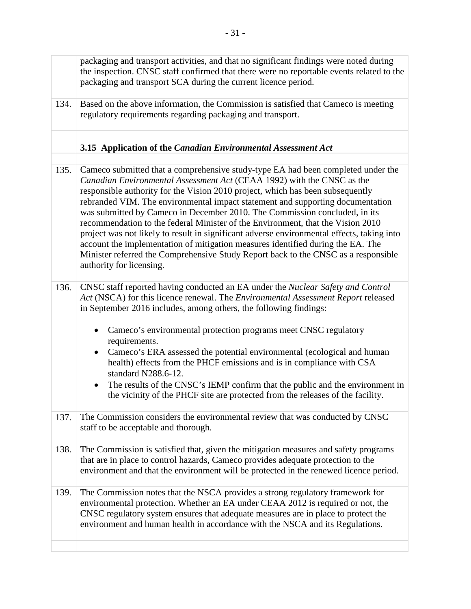<span id="page-36-0"></span>

|      | packaging and transport activities, and that no significant findings were noted during<br>the inspection. CNSC staff confirmed that there were no reportable events related to the<br>packaging and transport SCA during the current licence period.                                                                                                                                                                                                                                                                                                                                                                                                                                                                                                                                               |
|------|----------------------------------------------------------------------------------------------------------------------------------------------------------------------------------------------------------------------------------------------------------------------------------------------------------------------------------------------------------------------------------------------------------------------------------------------------------------------------------------------------------------------------------------------------------------------------------------------------------------------------------------------------------------------------------------------------------------------------------------------------------------------------------------------------|
| 134. | Based on the above information, the Commission is satisfied that Cameco is meeting<br>regulatory requirements regarding packaging and transport.                                                                                                                                                                                                                                                                                                                                                                                                                                                                                                                                                                                                                                                   |
|      |                                                                                                                                                                                                                                                                                                                                                                                                                                                                                                                                                                                                                                                                                                                                                                                                    |
|      | 3.15 Application of the Canadian Environmental Assessment Act                                                                                                                                                                                                                                                                                                                                                                                                                                                                                                                                                                                                                                                                                                                                      |
| 135. | Cameco submitted that a comprehensive study-type EA had been completed under the<br>Canadian Environmental Assessment Act (CEAA 1992) with the CNSC as the<br>responsible authority for the Vision 2010 project, which has been subsequently<br>rebranded VIM. The environmental impact statement and supporting documentation<br>was submitted by Cameco in December 2010. The Commission concluded, in its<br>recommendation to the federal Minister of the Environment, that the Vision 2010<br>project was not likely to result in significant adverse environmental effects, taking into<br>account the implementation of mitigation measures identified during the EA. The<br>Minister referred the Comprehensive Study Report back to the CNSC as a responsible<br>authority for licensing. |
| 136. | CNSC staff reported having conducted an EA under the Nuclear Safety and Control<br>Act (NSCA) for this licence renewal. The Environmental Assessment Report released<br>in September 2016 includes, among others, the following findings:<br>Cameco's environmental protection programs meet CNSC regulatory<br>requirements.<br>Cameco's ERA assessed the potential environmental (ecological and human<br>$\bullet$<br>health) effects from the PHCF emissions and is in compliance with CSA<br>standard N288.6-12.<br>The results of the CNSC's IEMP confirm that the public and the environment in<br>$\bullet$<br>the vicinity of the PHCF site are protected from the releases of the facility.                                                                                              |
| 137. | The Commission considers the environmental review that was conducted by CNSC<br>staff to be acceptable and thorough.                                                                                                                                                                                                                                                                                                                                                                                                                                                                                                                                                                                                                                                                               |
| 138. | The Commission is satisfied that, given the mitigation measures and safety programs<br>that are in place to control hazards, Cameco provides adequate protection to the<br>environment and that the environment will be protected in the renewed licence period.                                                                                                                                                                                                                                                                                                                                                                                                                                                                                                                                   |
| 139. | The Commission notes that the NSCA provides a strong regulatory framework for<br>environmental protection. Whether an EA under CEAA 2012 is required or not, the<br>CNSC regulatory system ensures that adequate measures are in place to protect the<br>environment and human health in accordance with the NSCA and its Regulations.                                                                                                                                                                                                                                                                                                                                                                                                                                                             |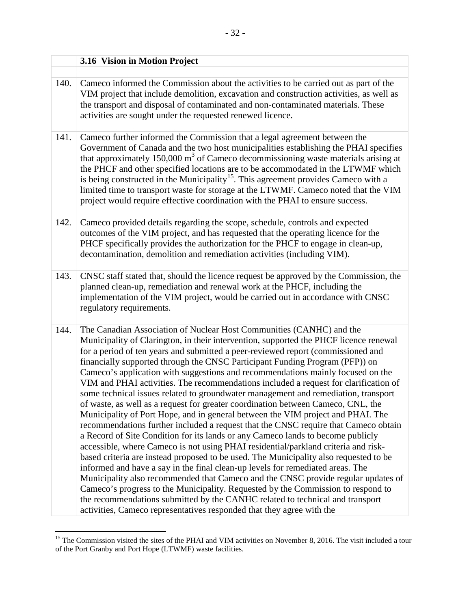<span id="page-37-0"></span>

|      | 3.16 Vision in Motion Project                                                                                                                                                                                                                                                                                                                                                                                                                                                                                                                                                                                                                                                                                                                                                                                                                                                                                                                                                                                                                                                                                                                                                                                                                                                                                                                                                                                                                                                                                                                           |
|------|---------------------------------------------------------------------------------------------------------------------------------------------------------------------------------------------------------------------------------------------------------------------------------------------------------------------------------------------------------------------------------------------------------------------------------------------------------------------------------------------------------------------------------------------------------------------------------------------------------------------------------------------------------------------------------------------------------------------------------------------------------------------------------------------------------------------------------------------------------------------------------------------------------------------------------------------------------------------------------------------------------------------------------------------------------------------------------------------------------------------------------------------------------------------------------------------------------------------------------------------------------------------------------------------------------------------------------------------------------------------------------------------------------------------------------------------------------------------------------------------------------------------------------------------------------|
|      |                                                                                                                                                                                                                                                                                                                                                                                                                                                                                                                                                                                                                                                                                                                                                                                                                                                                                                                                                                                                                                                                                                                                                                                                                                                                                                                                                                                                                                                                                                                                                         |
| 140. | Cameco informed the Commission about the activities to be carried out as part of the<br>VIM project that include demolition, excavation and construction activities, as well as<br>the transport and disposal of contaminated and non-contaminated materials. These<br>activities are sought under the requested renewed licence.                                                                                                                                                                                                                                                                                                                                                                                                                                                                                                                                                                                                                                                                                                                                                                                                                                                                                                                                                                                                                                                                                                                                                                                                                       |
| 141. | Cameco further informed the Commission that a legal agreement between the<br>Government of Canada and the two host municipalities establishing the PHAI specifies<br>that approximately $150,000 \text{ m}^3$ of Cameco decommissioning waste materials arising at<br>the PHCF and other specified locations are to be accommodated in the LTWMF which<br>is being constructed in the Municipality <sup>15</sup> . This agreement provides Cameco with a<br>limited time to transport waste for storage at the LTWMF. Cameco noted that the VIM<br>project would require effective coordination with the PHAI to ensure success.                                                                                                                                                                                                                                                                                                                                                                                                                                                                                                                                                                                                                                                                                                                                                                                                                                                                                                                        |
| 142. | Cameco provided details regarding the scope, schedule, controls and expected<br>outcomes of the VIM project, and has requested that the operating licence for the<br>PHCF specifically provides the authorization for the PHCF to engage in clean-up,<br>decontamination, demolition and remediation activities (including VIM).                                                                                                                                                                                                                                                                                                                                                                                                                                                                                                                                                                                                                                                                                                                                                                                                                                                                                                                                                                                                                                                                                                                                                                                                                        |
| 143. | CNSC staff stated that, should the licence request be approved by the Commission, the<br>planned clean-up, remediation and renewal work at the PHCF, including the<br>implementation of the VIM project, would be carried out in accordance with CNSC<br>regulatory requirements.                                                                                                                                                                                                                                                                                                                                                                                                                                                                                                                                                                                                                                                                                                                                                                                                                                                                                                                                                                                                                                                                                                                                                                                                                                                                       |
| 144. | The Canadian Association of Nuclear Host Communities (CANHC) and the<br>Municipality of Clarington, in their intervention, supported the PHCF licence renewal<br>for a period of ten years and submitted a peer-reviewed report (commissioned and<br>financially supported through the CNSC Participant Funding Program (PFP)) on<br>Cameco's application with suggestions and recommendations mainly focused on the<br>VIM and PHAI activities. The recommendations included a request for clarification of<br>some technical issues related to groundwater management and remediation, transport<br>of waste, as well as a request for greater coordination between Cameco, CNL, the<br>Municipality of Port Hope, and in general between the VIM project and PHAI. The<br>recommendations further included a request that the CNSC require that Cameco obtain<br>a Record of Site Condition for its lands or any Cameco lands to become publicly<br>accessible, where Cameco is not using PHAI residential/parkland criteria and risk-<br>based criteria are instead proposed to be used. The Municipality also requested to be<br>informed and have a say in the final clean-up levels for remediated areas. The<br>Municipality also recommended that Cameco and the CNSC provide regular updates of<br>Cameco's progress to the Municipality. Requested by the Commission to respond to<br>the recommendations submitted by the CANHC related to technical and transport<br>activities, Cameco representatives responded that they agree with the |

<span id="page-37-1"></span> $\overline{a}$ <sup>15</sup> The Commission visited the sites of the PHAI and VIM activities on November 8, 2016. The visit included a tour of the Port Granby and Port Hope (LTWMF) waste facilities.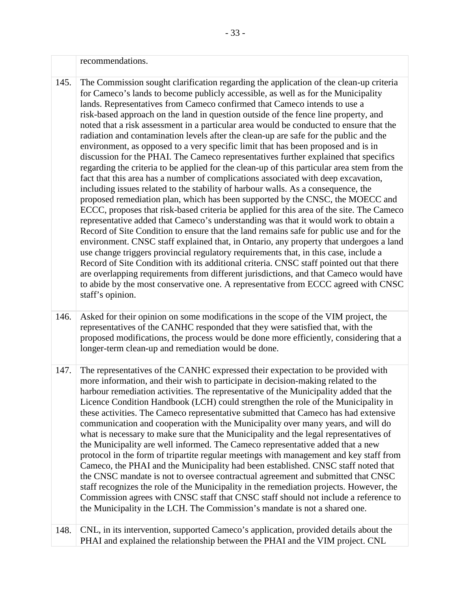|      | recommendations.                                                                                                                                                                                                                                                                                                                                                                                                                                                                                                                                                                                                                                                                                                                                                                                                                                                                                                                                                                                                                                                                                                                                                                                                                                                                                                                                                                                                                                                                                                                                                                                                                                                                                                                                                                                                                             |
|------|----------------------------------------------------------------------------------------------------------------------------------------------------------------------------------------------------------------------------------------------------------------------------------------------------------------------------------------------------------------------------------------------------------------------------------------------------------------------------------------------------------------------------------------------------------------------------------------------------------------------------------------------------------------------------------------------------------------------------------------------------------------------------------------------------------------------------------------------------------------------------------------------------------------------------------------------------------------------------------------------------------------------------------------------------------------------------------------------------------------------------------------------------------------------------------------------------------------------------------------------------------------------------------------------------------------------------------------------------------------------------------------------------------------------------------------------------------------------------------------------------------------------------------------------------------------------------------------------------------------------------------------------------------------------------------------------------------------------------------------------------------------------------------------------------------------------------------------------|
| 145. | The Commission sought clarification regarding the application of the clean-up criteria<br>for Cameco's lands to become publicly accessible, as well as for the Municipality<br>lands. Representatives from Cameco confirmed that Cameco intends to use a<br>risk-based approach on the land in question outside of the fence line property, and<br>noted that a risk assessment in a particular area would be conducted to ensure that the<br>radiation and contamination levels after the clean-up are safe for the public and the<br>environment, as opposed to a very specific limit that has been proposed and is in<br>discussion for the PHAI. The Cameco representatives further explained that specifics<br>regarding the criteria to be applied for the clean-up of this particular area stem from the<br>fact that this area has a number of complications associated with deep excavation,<br>including issues related to the stability of harbour walls. As a consequence, the<br>proposed remediation plan, which has been supported by the CNSC, the MOECC and<br>ECCC, proposes that risk-based criteria be applied for this area of the site. The Cameco<br>representative added that Cameco's understanding was that it would work to obtain a<br>Record of Site Condition to ensure that the land remains safe for public use and for the<br>environment. CNSC staff explained that, in Ontario, any property that undergoes a land<br>use change triggers provincial regulatory requirements that, in this case, include a<br>Record of Site Condition with its additional criteria. CNSC staff pointed out that there<br>are overlapping requirements from different jurisdictions, and that Cameco would have<br>to abide by the most conservative one. A representative from ECCC agreed with CNSC<br>staff's opinion. |
| 146. | Asked for their opinion on some modifications in the scope of the VIM project, the<br>representatives of the CANHC responded that they were satisfied that, with the<br>proposed modifications, the process would be done more efficiently, considering that a<br>longer-term clean-up and remediation would be done.                                                                                                                                                                                                                                                                                                                                                                                                                                                                                                                                                                                                                                                                                                                                                                                                                                                                                                                                                                                                                                                                                                                                                                                                                                                                                                                                                                                                                                                                                                                        |
| 147. | The representatives of the CANHC expressed their expectation to be provided with<br>more information, and their wish to participate in decision-making related to the<br>harbour remediation activities. The representative of the Municipality added that the<br>Licence Condition Handbook (LCH) could strengthen the role of the Municipality in<br>these activities. The Cameco representative submitted that Cameco has had extensive<br>communication and cooperation with the Municipality over many years, and will do<br>what is necessary to make sure that the Municipality and the legal representatives of<br>the Municipality are well informed. The Cameco representative added that a new<br>protocol in the form of tripartite regular meetings with management and key staff from<br>Cameco, the PHAI and the Municipality had been established. CNSC staff noted that<br>the CNSC mandate is not to oversee contractual agreement and submitted that CNSC<br>staff recognizes the role of the Municipality in the remediation projects. However, the<br>Commission agrees with CNSC staff that CNSC staff should not include a reference to<br>the Municipality in the LCH. The Commission's mandate is not a shared one.                                                                                                                                                                                                                                                                                                                                                                                                                                                                                                                                                                                                 |
| 148. | CNL, in its intervention, supported Cameco's application, provided details about the<br>PHAI and explained the relationship between the PHAI and the VIM project. CNL                                                                                                                                                                                                                                                                                                                                                                                                                                                                                                                                                                                                                                                                                                                                                                                                                                                                                                                                                                                                                                                                                                                                                                                                                                                                                                                                                                                                                                                                                                                                                                                                                                                                        |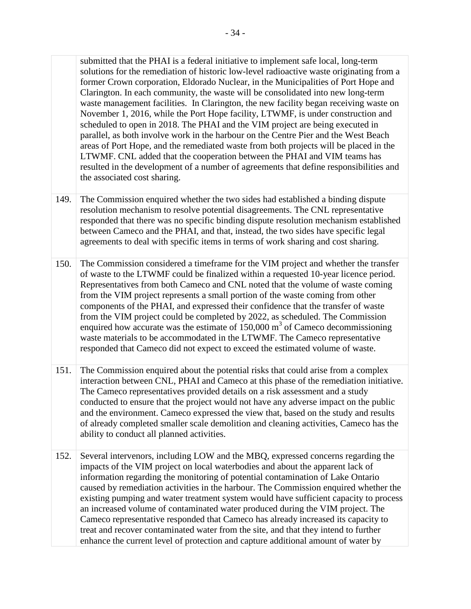waste management facilities. In Clarington, the new facility began receiving waste on November 1, 2016, while the Port Hope facility, LTWMF, is under construction and LTWMF. CNL added that the cooperation between the PHAI and VIM teams has submitted that the PHAI is a federal initiative to implement safe local, long-term solutions for the remediation of historic low-level radioactive waste originating from a former Crown corporation, Eldorado Nuclear, in the Municipalities of Port Hope and Clarington. In each community, the waste will be consolidated into new long-term scheduled to open in 2018. The PHAI and the VIM project are being executed in parallel, as both involve work in the harbour on the Centre Pier and the West Beach areas of Port Hope, and the remediated waste from both projects will be placed in the resulted in the development of a number of agreements that define responsibilities and the associated cost sharing.

- The Commission enquired whether the two sides had established a binding dispute resolution mechanism to resolve potential disagreements. The CNL representative responded that there was no specific binding dispute resolution mechanism established between Cameco and the PHAI, and that, instead, the two sides have specific legal agreements to deal with specific items in terms of work sharing and cost sharing. 149.
- of waste to the LTWMF could be finalized within a requested 10-year licence period. Representatives from both Cameco and CNL noted that the volume of waste coming responded that Cameco did not expect to exceed the estimated volume of waste. The Commission considered a timeframe for the VIM project and whether the transfer from the VIM project represents a small portion of the waste coming from other components of the PHAI, and expressed their confidence that the transfer of waste from the VIM project could be completed by 2022, as scheduled. The Commission enquired how accurate was the estimate of  $150,000 \text{ m}^3$  of Cameco decommissioning waste materials to be accommodated in the LTWMF. The Cameco representative 150.
- and the environment. Cameco expressed the view that, based on the study and results of already completed smaller scale demolition and cleaning activities, Cameco has the The Commission enquired about the potential risks that could arise from a complex interaction between CNL, PHAI and Cameco at this phase of the remediation initiative. The Cameco representatives provided details on a risk assessment and a study conducted to ensure that the project would not have any adverse impact on the public ability to conduct all planned activities. 151.
- impacts of the VIM project on local waterbodies and about the apparent lack of information regarding the monitoring of potential contamination of Lake Ontario existing pumping and water treatment system would have sufficient capacity to process Several intervenors, including LOW and the MBQ, expressed concerns regarding the caused by remediation activities in the harbour. The Commission enquired whether the an increased volume of contaminated water produced during the VIM project. The Cameco representative responded that Cameco has already increased its capacity to treat and recover contaminated water from the site, and that they intend to further enhance the current level of protection and capture additional amount of water by 152.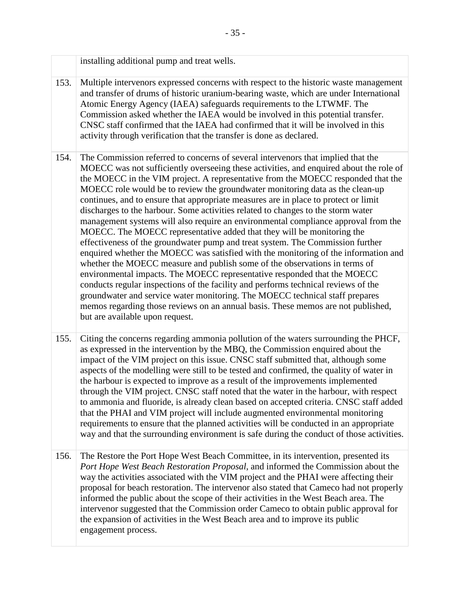|      | installing additional pump and treat wells.                                                                                                                                                                                                                                                                                                                                                                                                                                                                                                                                                                                                                                                                                                                                                                                                                                                                                                                                                                                                                                                                                                                                                                                                                                                                                |
|------|----------------------------------------------------------------------------------------------------------------------------------------------------------------------------------------------------------------------------------------------------------------------------------------------------------------------------------------------------------------------------------------------------------------------------------------------------------------------------------------------------------------------------------------------------------------------------------------------------------------------------------------------------------------------------------------------------------------------------------------------------------------------------------------------------------------------------------------------------------------------------------------------------------------------------------------------------------------------------------------------------------------------------------------------------------------------------------------------------------------------------------------------------------------------------------------------------------------------------------------------------------------------------------------------------------------------------|
| 153. | Multiple intervenors expressed concerns with respect to the historic waste management<br>and transfer of drums of historic uranium-bearing waste, which are under International<br>Atomic Energy Agency (IAEA) safeguards requirements to the LTWMF. The<br>Commission asked whether the IAEA would be involved in this potential transfer.<br>CNSC staff confirmed that the IAEA had confirmed that it will be involved in this<br>activity through verification that the transfer is done as declared.                                                                                                                                                                                                                                                                                                                                                                                                                                                                                                                                                                                                                                                                                                                                                                                                                   |
| 154. | The Commission referred to concerns of several intervenors that implied that the<br>MOECC was not sufficiently overseeing these activities, and enquired about the role of<br>the MOECC in the VIM project. A representative from the MOECC responded that the<br>MOECC role would be to review the groundwater monitoring data as the clean-up<br>continues, and to ensure that appropriate measures are in place to protect or limit<br>discharges to the harbour. Some activities related to changes to the storm water<br>management systems will also require an environmental compliance approval from the<br>MOECC. The MOECC representative added that they will be monitoring the<br>effectiveness of the groundwater pump and treat system. The Commission further<br>enquired whether the MOECC was satisfied with the monitoring of the information and<br>whether the MOECC measure and publish some of the observations in terms of<br>environmental impacts. The MOECC representative responded that the MOECC<br>conducts regular inspections of the facility and performs technical reviews of the<br>groundwater and service water monitoring. The MOECC technical staff prepares<br>memos regarding those reviews on an annual basis. These memos are not published,<br>but are available upon request. |
| 155. | Citing the concerns regarding ammonia pollution of the waters surrounding the PHCF,<br>as expressed in the intervention by the MBQ, the Commission enquired about the<br>impact of the VIM project on this issue. CNSC staff submitted that, although some<br>aspects of the modelling were still to be tested and confirmed, the quality of water in<br>the harbour is expected to improve as a result of the improvements implemented<br>through the VIM project. CNSC staff noted that the water in the harbour, with respect<br>to ammonia and fluoride, is already clean based on accepted criteria. CNSC staff added<br>that the PHAI and VIM project will include augmented environmental monitoring<br>requirements to ensure that the planned activities will be conducted in an appropriate<br>way and that the surrounding environment is safe during the conduct of those activities.                                                                                                                                                                                                                                                                                                                                                                                                                          |
| 156. | The Restore the Port Hope West Beach Committee, in its intervention, presented its<br>Port Hope West Beach Restoration Proposal, and informed the Commission about the<br>way the activities associated with the VIM project and the PHAI were affecting their<br>proposal for beach restoration. The intervenor also stated that Cameco had not properly<br>informed the public about the scope of their activities in the West Beach area. The<br>intervenor suggested that the Commission order Cameco to obtain public approval for<br>the expansion of activities in the West Beach area and to improve its public<br>engagement process.                                                                                                                                                                                                                                                                                                                                                                                                                                                                                                                                                                                                                                                                             |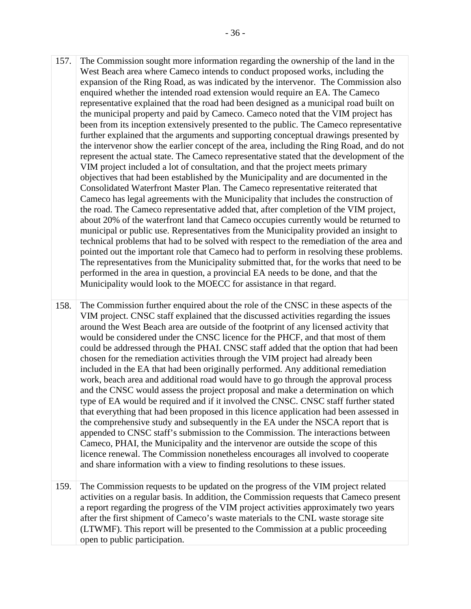representative explained that the road had been designed as a municipal road built on technical problems that had to be solved with respect to the remediation of the area and pointed out the important role that Cameco had to perform in resolving these problems. performed in the area in question, a provincial EA needs to be done, and that the Municipality would look to the MOECC for assistance in that regard. The Commission sought more information regarding the ownership of the land in the West Beach area where Cameco intends to conduct proposed works, including the expansion of the Ring Road, as was indicated by the intervenor. The Commission also enquired whether the intended road extension would require an EA. The Cameco the municipal property and paid by Cameco. Cameco noted that the VIM project has been from its inception extensively presented to the public. The Cameco representative further explained that the arguments and supporting conceptual drawings presented by the intervenor show the earlier concept of the area, including the Ring Road, and do not represent the actual state. The Cameco representative stated that the development of the VIM project included a lot of consultation, and that the project meets primary objectives that had been established by the Municipality and are documented in the Consolidated Waterfront Master Plan. The Cameco representative reiterated that Cameco has legal agreements with the Municipality that includes the construction of the road. The Cameco representative added that, after completion of the VIM project, about 20% of the waterfront land that Cameco occupies currently would be returned to municipal or public use. Representatives from the Municipality provided an insight to The representatives from the Municipality submitted that, for the works that need to be 157. The Commission sought more information regarding the ownership of West Beach area where Cameco intends to conduct proposed works, it expansion of the Ring Road, as was indicated by the intervenor. The equivired whethe

 chosen for the remediation activities through the VIM project had already been included in the EA that had been originally performed. Any additional remediation type of EA would be required and if it involved the CNSC. CNSC staff further stated that everything that had been proposed in this licence application had been assessed in the comprehensive study and subsequently in the EA under the NSCA report that is licence renewal. The Commission nonetheless encourages all involved to cooperate The Commission further enquired about the role of the CNSC in these aspects of the VIM project. CNSC staff explained that the discussed activities regarding the issues around the West Beach area are outside of the footprint of any licensed activity that would be considered under the CNSC licence for the PHCF, and that most of them could be addressed through the PHAI. CNSC staff added that the option that had been work, beach area and additional road would have to go through the approval process and the CNSC would assess the project proposal and make a determination on which appended to CNSC staff's submission to the Commission. The interactions between Cameco, PHAI, the Municipality and the intervenor are outside the scope of this and share information with a view to finding resolutions to these issues. 158.

The Commission requests to be updated on the progress of the VIM project related activities on a regular basis. In addition, the Commission requests that Cameco present a report regarding the progress of the VIM project activities approximately two years after the first shipment of Cameco's waste materials to the CNL waste storage site (LTWMF). This report will be presented to the Commission at a public proceeding open to public participation. 159.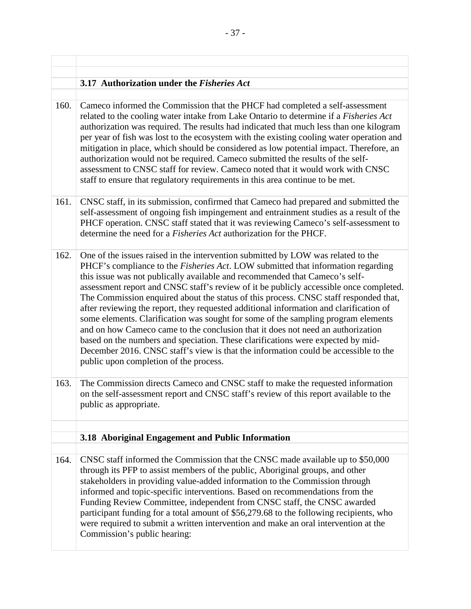#### <span id="page-42-0"></span>**3.17 Authorization under the** *Fisheries Act*

Cameco informed the Commission that the PHCF had completed a self-assessment related to the cooling water intake from Lake Ontario to determine if a *Fisheries Act*  authorization was required. The results had indicated that much less than one kilogram per year of fish was lost to the ecosystem with the existing cooling water operation and mitigation in place, which should be considered as low potential impact. Therefore, an authorization would not be required. Cameco submitted the results of the selfassessment to CNSC staff for review. Cameco noted that it would work with CNSC staff to ensure that regulatory requirements in this area continue to be met. 160.

- PHCF operation. CNSC staff stated that it was reviewing Cameco's self-assessment to CNSC staff, in its submission, confirmed that Cameco had prepared and submitted the self-assessment of ongoing fish impingement and entrainment studies as a result of the determine the need for a *Fisheries Act* authorization for the PHCF. 161.
- this issue was not publically available and recommended that Cameco's self-One of the issues raised in the intervention submitted by LOW was related to the PHCF's compliance to the *Fisheries Act*. LOW submitted that information regarding assessment report and CNSC staff's review of it be publicly accessible once completed. The Commission enquired about the status of this process. CNSC staff responded that, after reviewing the report, they requested additional information and clarification of some elements. Clarification was sought for some of the sampling program elements and on how Cameco came to the conclusion that it does not need an authorization based on the numbers and speciation. These clarifications were expected by mid-December 2016. CNSC staff's view is that the information could be accessible to the public upon completion of the process. 162.
- The Commission directs Cameco and CNSC staff to make the requested information on the self-assessment report and CNSC staff's review of this report available to the public as appropriate. 163.

#### <span id="page-42-1"></span>**3.18 Aboriginal Engagement and Public Information**

 CNSC staff informed the Commission that the CNSC made available up to \$50,000 participant funding for a total amount of \$56,279.68 to the following recipients, who through its PFP to assist members of the public, Aboriginal groups, and other stakeholders in providing value-added information to the Commission through informed and topic-specific interventions. Based on recommendations from the Funding Review Committee, independent from CNSC staff, the CNSC awarded were required to submit a written intervention and make an oral intervention at the Commission's public hearing: 164.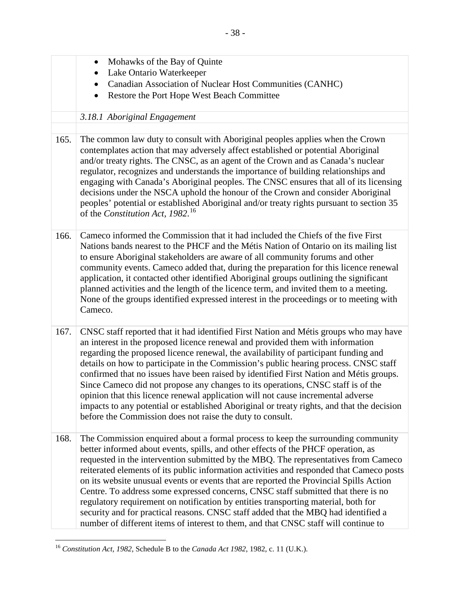<span id="page-43-0"></span>

|      | Mohawks of the Bay of Quinte<br>$\bullet$                                                                                                                                                                                                                                                                                                                                                                                                                                                                                                                                                                                                                                                                                                                                                                  |
|------|------------------------------------------------------------------------------------------------------------------------------------------------------------------------------------------------------------------------------------------------------------------------------------------------------------------------------------------------------------------------------------------------------------------------------------------------------------------------------------------------------------------------------------------------------------------------------------------------------------------------------------------------------------------------------------------------------------------------------------------------------------------------------------------------------------|
|      | Lake Ontario Waterkeeper                                                                                                                                                                                                                                                                                                                                                                                                                                                                                                                                                                                                                                                                                                                                                                                   |
|      | Canadian Association of Nuclear Host Communities (CANHC)                                                                                                                                                                                                                                                                                                                                                                                                                                                                                                                                                                                                                                                                                                                                                   |
|      | Restore the Port Hope West Beach Committee                                                                                                                                                                                                                                                                                                                                                                                                                                                                                                                                                                                                                                                                                                                                                                 |
|      | 3.18.1 Aboriginal Engagement                                                                                                                                                                                                                                                                                                                                                                                                                                                                                                                                                                                                                                                                                                                                                                               |
|      |                                                                                                                                                                                                                                                                                                                                                                                                                                                                                                                                                                                                                                                                                                                                                                                                            |
| 165. | The common law duty to consult with Aboriginal peoples applies when the Crown<br>contemplates action that may adversely affect established or potential Aboriginal<br>and/or treaty rights. The CNSC, as an agent of the Crown and as Canada's nuclear<br>regulator, recognizes and understands the importance of building relationships and<br>engaging with Canada's Aboriginal peoples. The CNSC ensures that all of its licensing<br>decisions under the NSCA uphold the honour of the Crown and consider Aboriginal<br>peoples' potential or established Aboriginal and/or treaty rights pursuant to section 35<br>of the Constitution Act, 1982. <sup>16</sup>                                                                                                                                       |
| 166. | Cameco informed the Commission that it had included the Chiefs of the five First<br>Nations bands nearest to the PHCF and the Métis Nation of Ontario on its mailing list<br>to ensure Aboriginal stakeholders are aware of all community forums and other<br>community events. Cameco added that, during the preparation for this licence renewal<br>application, it contacted other identified Aboriginal groups outlining the significant<br>planned activities and the length of the licence term, and invited them to a meeting.<br>None of the groups identified expressed interest in the proceedings or to meeting with<br>Cameco.                                                                                                                                                                 |
| 167. | CNSC staff reported that it had identified First Nation and Métis groups who may have<br>an interest in the proposed licence renewal and provided them with information<br>regarding the proposed licence renewal, the availability of participant funding and<br>details on how to participate in the Commission's public hearing process. CNSC staff<br>confirmed that no issues have been raised by identified First Nation and Métis groups.<br>Since Cameco did not propose any changes to its operations, CNSC staff is of the<br>opinion that this licence renewal application will not cause incremental adverse<br>impacts to any potential or established Aboriginal or treaty rights, and that the decision<br>before the Commission does not raise the duty to consult.                        |
| 168. | The Commission enquired about a formal process to keep the surrounding community<br>better informed about events, spills, and other effects of the PHCF operation, as<br>requested in the intervention submitted by the MBQ. The representatives from Cameco<br>reiterated elements of its public information activities and responded that Cameco posts<br>on its website unusual events or events that are reported the Provincial Spills Action<br>Centre. To address some expressed concerns, CNSC staff submitted that there is no<br>regulatory requirement on notification by entities transporting material, both for<br>security and for practical reasons. CNSC staff added that the MBQ had identified a<br>number of different items of interest to them, and that CNSC staff will continue to |

<span id="page-43-1"></span><sup>16</sup>*Constitution Act, 1982*, Schedule B to the *Canada Act 1982*, 1982, c. 11 (U.K.).

<u>.</u>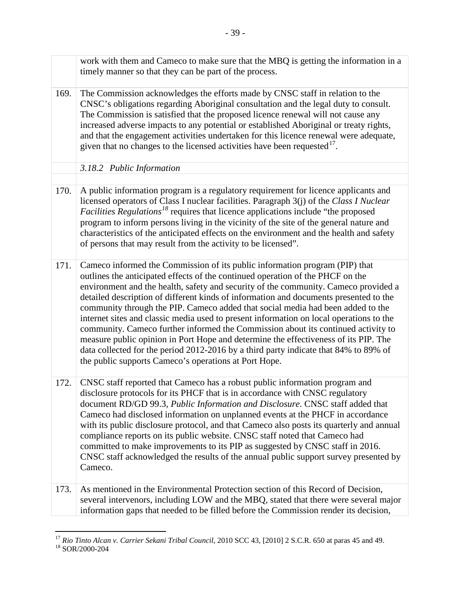<span id="page-44-0"></span>

|      | work with them and Cameco to make sure that the MBQ is getting the information in a<br>timely manner so that they can be part of the process.                                                                                                                                                                                                                                                                                                                                                                                                                                                                                                                                                                                                                                                                                                            |
|------|----------------------------------------------------------------------------------------------------------------------------------------------------------------------------------------------------------------------------------------------------------------------------------------------------------------------------------------------------------------------------------------------------------------------------------------------------------------------------------------------------------------------------------------------------------------------------------------------------------------------------------------------------------------------------------------------------------------------------------------------------------------------------------------------------------------------------------------------------------|
| 169. | The Commission acknowledges the efforts made by CNSC staff in relation to the<br>CNSC's obligations regarding Aboriginal consultation and the legal duty to consult.<br>The Commission is satisfied that the proposed licence renewal will not cause any<br>increased adverse impacts to any potential or established Aboriginal or treaty rights,<br>and that the engagement activities undertaken for this licence renewal were adequate,<br>given that no changes to the licensed activities have been requested $17$ .                                                                                                                                                                                                                                                                                                                               |
|      | 3.18.2 Public Information                                                                                                                                                                                                                                                                                                                                                                                                                                                                                                                                                                                                                                                                                                                                                                                                                                |
|      |                                                                                                                                                                                                                                                                                                                                                                                                                                                                                                                                                                                                                                                                                                                                                                                                                                                          |
| 170. | A public information program is a regulatory requirement for licence applicants and<br>licensed operators of Class I nuclear facilities. Paragraph 3(j) of the Class I Nuclear<br><i>Facilities Regulations</i> <sup>18</sup> requires that licence applications include "the proposed"<br>program to inform persons living in the vicinity of the site of the general nature and<br>characteristics of the anticipated effects on the environment and the health and safety<br>of persons that may result from the activity to be licensed".                                                                                                                                                                                                                                                                                                            |
| 171. | Cameco informed the Commission of its public information program (PIP) that<br>outlines the anticipated effects of the continued operation of the PHCF on the<br>environment and the health, safety and security of the community. Cameco provided a<br>detailed description of different kinds of information and documents presented to the<br>community through the PIP. Cameco added that social media had been added to the<br>internet sites and classic media used to present information on local operations to the<br>community. Cameco further informed the Commission about its continued activity to<br>measure public opinion in Port Hope and determine the effectiveness of its PIP. The<br>data collected for the period 2012-2016 by a third party indicate that 84% to 89% of<br>the public supports Cameco's operations at Port Hope. |
| 172. | CNSC staff reported that Cameco has a robust public information program and<br>disclosure protocols for its PHCF that is in accordance with CNSC regulatory<br>document RD/GD 99.3, Public Information and Disclosure. CNSC staff added that<br>Cameco had disclosed information on unplanned events at the PHCF in accordance<br>with its public disclosure protocol, and that Cameco also posts its quarterly and annual<br>compliance reports on its public website. CNSC staff noted that Cameco had<br>committed to make improvements to its PIP as suggested by CNSC staff in 2016.<br>CNSC staff acknowledged the results of the annual public support survey presented by<br>Cameco.                                                                                                                                                             |
| 173. | As mentioned in the Environmental Protection section of this Record of Decision,<br>several intervenors, including LOW and the MBQ, stated that there were several major<br>information gaps that needed to be filled before the Commission render its decision,                                                                                                                                                                                                                                                                                                                                                                                                                                                                                                                                                                                         |

<span id="page-44-1"></span> $\overline{a}$ <sup>17</sup> Rio Tinto Alcan v. Carrier Sekani Tribal Council, 2010 SCC 43, [2010] 2 S.C.R. 650 at paras 45 and 49.<br><sup>18</sup> SOR/2000-204

<span id="page-44-2"></span>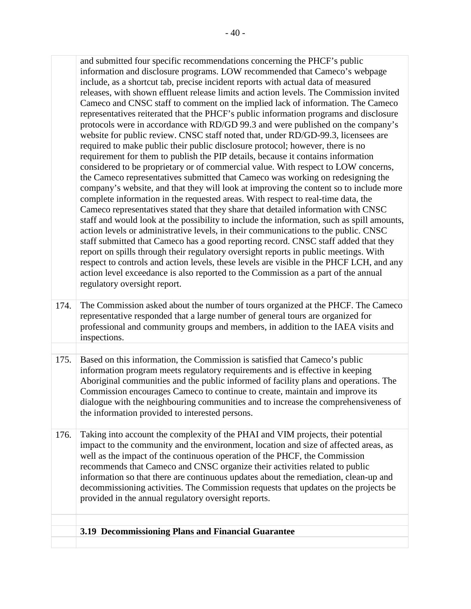| and submitted four specific recommendations concerning the PHCF's public                   |
|--------------------------------------------------------------------------------------------|
| information and disclosure programs. LOW recommended that Cameco's webpage                 |
| include, as a shortcut tab, precise incident reports with actual data of measured          |
| releases, with shown effluent release limits and action levels. The Commission invited     |
| Cameco and CNSC staff to comment on the implied lack of information. The Cameco            |
| representatives reiterated that the PHCF's public information programs and disclosure      |
| protocols were in accordance with RD/GD 99.3 and were published on the company's           |
| website for public review. CNSC staff noted that, under RD/GD-99.3, licensees are          |
| required to make public their public disclosure protocol; however, there is no             |
| requirement for them to publish the PIP details, because it contains information           |
| considered to be proprietary or of commercial value. With respect to LOW concerns,         |
| the Cameco representatives submitted that Cameco was working on redesigning the            |
| company's website, and that they will look at improving the content so to include more     |
| complete information in the requested areas. With respect to real-time data, the           |
| Cameco representatives stated that they share that detailed information with CNSC          |
| staff and would look at the possibility to include the information, such as spill amounts, |
| action levels or administrative levels, in their communications to the public. CNSC        |
| staff submitted that Cameco has a good reporting record. CNSC staff added that they        |
| report on spills through their regulatory oversight reports in public meetings. With       |
| respect to controls and action levels, these levels are visible in the PHCF LCH, and any   |
| action level exceedance is also reported to the Commission as a part of the annual         |
| regulatory oversight report.                                                               |
|                                                                                            |
| The Commission asked about the number of tours organized at the PHCE The Cameco            |

- The Commission asked about the number of tours organized at the PHCF. The Cameco professional and community groups and members, in addition to the IAEA visits and representative responded that a large number of general tours are organized for inspections. 174.
- Based on this information, the Commission is satisfied that Cameco's public information program meets regulatory requirements and is effective in keeping Aboriginal communities and the public informed of facility plans and operations. The Commission encourages Cameco to continue to create, maintain and improve its dialogue with the neighbouring communities and to increase the comprehensiveness of the information provided to interested persons. 175.
- information so that there are continuous updates about the remediation, clean-up and decommissioning activities. The Commission requests that updates on the projects be Taking into account the complexity of the PHAI and VIM projects, their potential impact to the community and the environment, location and size of affected areas, as well as the impact of the continuous operation of the PHCF, the Commission recommends that Cameco and CNSC organize their activities related to public provided in the annual regulatory oversight reports. 176.

#### <span id="page-45-0"></span>**3.19 Decommissioning Plans and Financial Guarantee**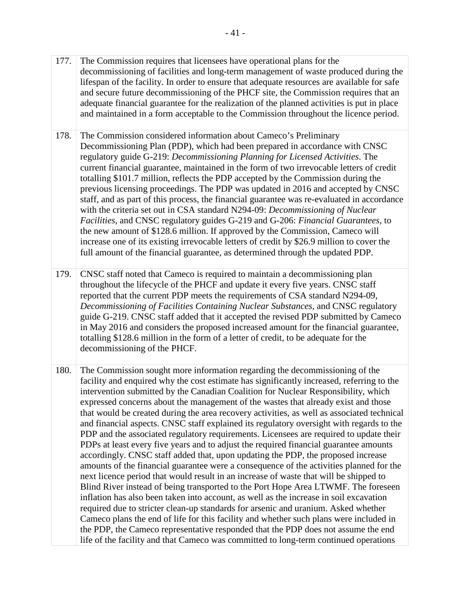- decommissioning of facilities and long-term management of waste produced during the and secure future decommissioning of the PHCF site, the Commission requires that an adequate financial guarantee for the realization of the planned activities is put in place The Commission requires that licensees have operational plans for the lifespan of the facility. In order to ensure that adequate resources are available for safe and maintained in a form acceptable to the Commission throughout the licence period. 177.
- regulatory guide G-219: *Decommissioning Planning for Licensed Activities*. The *Facilities*, and CNSC regulatory guides G-219 and G-206: *Financial Guarantees*, to 178. The Commission considered information about Cameco's Preliminary Decommissioning Plan (PDP), which had been prepared in accordance with CNSC current financial guarantee, maintained in the form of two irrevocable letters of credit totalling \$101.7 million, reflects the PDP accepted by the Commission during the previous licensing proceedings. The PDP was updated in 2016 and accepted by CNSC staff, and as part of this process, the financial guarantee was re-evaluated in accordance with the criteria set out in CSA standard N294-09: *Decommissioning of Nuclear*  the new amount of \$128.6 million. If approved by the Commission, Cameco will increase one of its existing irrevocable letters of credit by \$26.9 million to cover the full amount of the financial guarantee, as determined through the updated PDP.
- guide G-219. CNSC staff added that it accepted the revised PDP submitted by Cameco decommissioning of the PHCF. 179. CNSC staff noted that Cameco is required to maintain a decommissioning plan throughout the lifecycle of the PHCF and update it every five years. CNSC staff reported that the current PDP meets the requirements of CSA standard N294-09, *Decommissioning of Facilities Containing Nuclear Substances,* and CNSC regulatory in May 2016 and considers the proposed increased amount for the financial guarantee, totalling \$128.6 million in the form of a letter of credit, to be adequate for the
- 180. The Commission sought more information regarding the decommissioning of the and financial aspects. CNSC staff explained its regulatory oversight with regards to the PDP and the associated regulatory requirements. Licensees are required to update their facility and enquired why the cost estimate has significantly increased, referring to the intervention submitted by the Canadian Coalition for Nuclear Responsibility, which expressed concerns about the management of the wastes that already exist and those that would be created during the area recovery activities, as well as associated technical PDPs at least every five years and to adjust the required financial guarantee amounts accordingly. CNSC staff added that, upon updating the PDP, the proposed increase amounts of the financial guarantee were a consequence of the activities planned for the next licence period that would result in an increase of waste that will be shipped to Blind River instead of being transported to the Port Hope Area LTWMF. The foreseen inflation has also been taken into account, as well as the increase in soil excavation required due to stricter clean-up standards for arsenic and uranium. Asked whether Cameco plans the end of life for this facility and whether such plans were included in the PDP, the Cameco representative responded that the PDP does not assume the end life of the facility and that Cameco was committed to long-term continued operations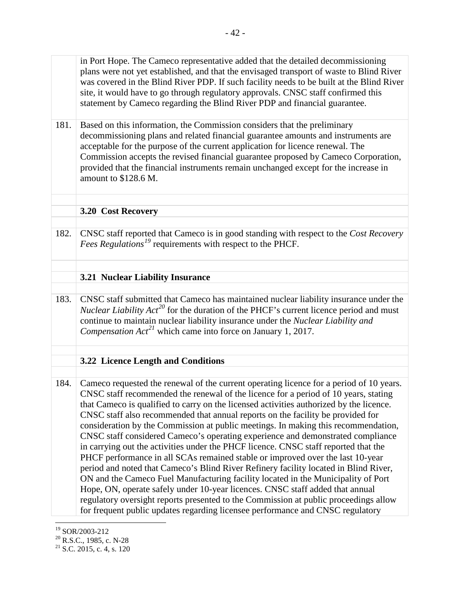<span id="page-47-0"></span>in Port Hope. The Cameco representative added that the detailed decommissioning plans were not yet established, and that the envisaged transport of waste to Blind River was covered in the Blind River PDP. If such facility needs to be built at the Blind River site, it would have to go through regulatory approvals. CNSC staff confirmed this statement by Cameco regarding the Blind River PDP and financial guarantee. 181. Based on this information, the Commission considers that the preliminary decommissioning plans and related financial guarantee amounts and instruments are acceptable for the purpose of the current application for licence renewal. The Commission accepts the revised financial guarantee proposed by Cameco Corporation, provided that the financial instruments remain unchanged except for the increase in amount to \$128.6 M. **3.20 Cost Recovery**  182. CNSC staff reported that Cameco is in good standing with respect to the *Cost Recovery Fees Regulations[19](#page-47-3)* requirements with respect to the PHCF. **3.21 Nuclear Liability Insurance**  183. CNSC staff submitted that Cameco has maintained nuclear liability insurance under the *Nuclear Liability Act*<sup>[20](#page-47-4)</sup> for the duration of the PHCF's current licence period and must continue to maintain nuclear liability insurance under the *Nuclear Liability and Compensation Act[21](#page-47-5)* which came into force on January 1, 2017. **3.22 Licence Length and Conditions**  184. Cameco requested the renewal of the current operating licence for a period of 10 years. CNSC staff recommended the renewal of the licence for a period of 10 years, stating that Cameco is qualified to carry on the licensed activities authorized by the licence. CNSC staff also recommended that annual reports on the facility be provided for consideration by the Commission at public meetings. In making this recommendation, CNSC staff considered Cameco's operating experience and demonstrated compliance in carrying out the activities under the PHCF licence. CNSC staff reported that the PHCF performance in all SCAs remained stable or improved over the last 10-year period and noted that Cameco's Blind River Refinery facility located in Blind River, ON and the Cameco Fuel Manufacturing facility located in the Municipality of Port

regulatory oversight reports presented to the Commission at public proceedings allow for frequent public updates regarding licensee performance and CNSC regulatory

<span id="page-47-2"></span><span id="page-47-1"></span>Hope, ON, operate safely under 10-year licences. CNSC staff added that annual

<span id="page-47-3"></span><sup>19</sup> SOR/2003-212

<span id="page-47-5"></span><span id="page-47-4"></span><sup>&</sup>lt;sup>20</sup> R.S.C., 1985, c. N-28<br><sup>21</sup> S.C. 2015, c. 4, s. 120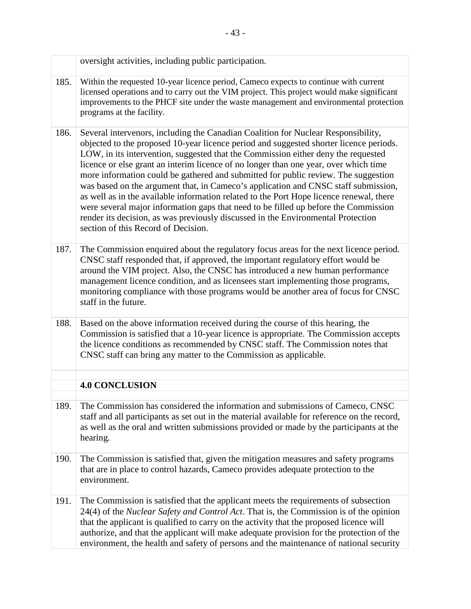<span id="page-48-0"></span>

|      | oversight activities, including public participation.                                                                                                                                                                                                                                                                                                                                                                                                                                                                                                                                                                                                                                                                                                                                                                                             |
|------|---------------------------------------------------------------------------------------------------------------------------------------------------------------------------------------------------------------------------------------------------------------------------------------------------------------------------------------------------------------------------------------------------------------------------------------------------------------------------------------------------------------------------------------------------------------------------------------------------------------------------------------------------------------------------------------------------------------------------------------------------------------------------------------------------------------------------------------------------|
| 185. | Within the requested 10-year licence period, Cameco expects to continue with current<br>licensed operations and to carry out the VIM project. This project would make significant<br>improvements to the PHCF site under the waste management and environmental protection<br>programs at the facility.                                                                                                                                                                                                                                                                                                                                                                                                                                                                                                                                           |
| 186. | Several intervenors, including the Canadian Coalition for Nuclear Responsibility,<br>objected to the proposed 10-year licence period and suggested shorter licence periods.<br>LOW, in its intervention, suggested that the Commission either deny the requested<br>licence or else grant an interim licence of no longer than one year, over which time<br>more information could be gathered and submitted for public review. The suggestion<br>was based on the argument that, in Cameco's application and CNSC staff submission,<br>as well as in the available information related to the Port Hope licence renewal, there<br>were several major information gaps that need to be filled up before the Commission<br>render its decision, as was previously discussed in the Environmental Protection<br>section of this Record of Decision. |
| 187. | The Commission enquired about the regulatory focus areas for the next licence period.<br>CNSC staff responded that, if approved, the important regulatory effort would be<br>around the VIM project. Also, the CNSC has introduced a new human performance<br>management licence condition, and as licensees start implementing those programs,<br>monitoring compliance with those programs would be another area of focus for CNSC<br>staff in the future.                                                                                                                                                                                                                                                                                                                                                                                      |
| 188. | Based on the above information received during the course of this hearing, the<br>Commission is satisfied that a 10-year licence is appropriate. The Commission accepts<br>the licence conditions as recommended by CNSC staff. The Commission notes that<br>CNSC staff can bring any matter to the Commission as applicable.                                                                                                                                                                                                                                                                                                                                                                                                                                                                                                                     |
|      |                                                                                                                                                                                                                                                                                                                                                                                                                                                                                                                                                                                                                                                                                                                                                                                                                                                   |
|      | <b>4.0 CONCLUSION</b>                                                                                                                                                                                                                                                                                                                                                                                                                                                                                                                                                                                                                                                                                                                                                                                                                             |
| 189. | The Commission has considered the information and submissions of Cameco, CNSC<br>staff and all participants as set out in the material available for reference on the record,<br>as well as the oral and written submissions provided or made by the participants at the<br>hearing.                                                                                                                                                                                                                                                                                                                                                                                                                                                                                                                                                              |
| 190. | The Commission is satisfied that, given the mitigation measures and safety programs<br>that are in place to control hazards, Cameco provides adequate protection to the<br>environment.                                                                                                                                                                                                                                                                                                                                                                                                                                                                                                                                                                                                                                                           |
| 191. | The Commission is satisfied that the applicant meets the requirements of subsection<br>24(4) of the <i>Nuclear Safety and Control Act</i> . That is, the Commission is of the opinion<br>that the applicant is qualified to carry on the activity that the proposed licence will<br>authorize, and that the applicant will make adequate provision for the protection of the<br>environment, the health and safety of persons and the maintenance of national security                                                                                                                                                                                                                                                                                                                                                                            |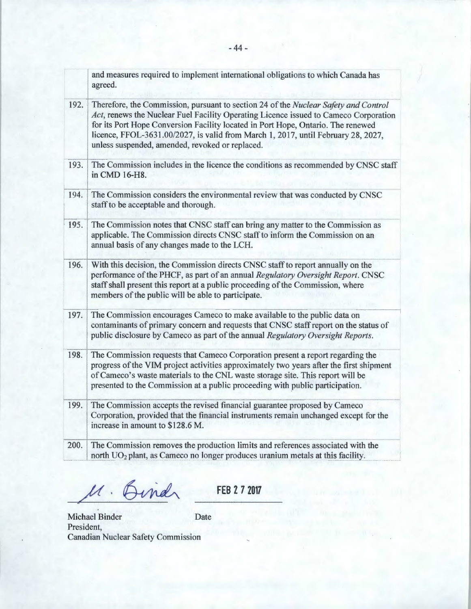|      | and measures required to implement international obligations to which Canada has<br>agreed.                                                                                                                                                                                                                                                                                                             |
|------|---------------------------------------------------------------------------------------------------------------------------------------------------------------------------------------------------------------------------------------------------------------------------------------------------------------------------------------------------------------------------------------------------------|
| 192. | Therefore, the Commission, pursuant to section 24 of the Nuclear Safety and Control<br>Act, renews the Nuclear Fuel Facility Operating Licence issued to Cameco Corporation<br>for its Port Hope Conversion Facility located in Port Hope, Ontario. The renewed<br>licence, FFOL-3631.00/2027, is valid from March 1, 2017, until February 28, 2027,<br>unless suspended, amended, revoked or replaced. |
| 193. | The Commission includes in the licence the conditions as recommended by CNSC staff<br>in CMD 16-H8.                                                                                                                                                                                                                                                                                                     |
| 194. | The Commission considers the environmental review that was conducted by CNSC<br>staff to be acceptable and thorough.                                                                                                                                                                                                                                                                                    |
| 195. | The Commission notes that CNSC staff can bring any matter to the Commission as<br>applicable. The Commission directs CNSC staff to inform the Commission on an<br>annual basis of any changes made to the LCH.                                                                                                                                                                                          |
| 196. | With this decision, the Commission directs CNSC staff to report annually on the<br>performance of the PHCF, as part of an annual Regulatory Oversight Report. CNSC<br>staff shall present this report at a public proceeding of the Commission, where<br>members of the public will be able to participate.                                                                                             |
| 197. | The Commission encourages Cameco to make available to the public data on<br>contaminants of primary concern and requests that CNSC staff report on the status of<br>public disclosure by Cameco as part of the annual Regulatory Oversight Reports.                                                                                                                                                     |
| 198. | The Commission requests that Cameco Corporation present a report regarding the<br>progress of the VIM project activities approximately two years after the first shipment<br>of Cameco's waste materials to the CNL waste storage site. This report will be<br>presented to the Commission at a public proceeding with public participation.                                                            |
| 199. | The Commission accepts the revised financial guarantee proposed by Cameco<br>Corporation, provided that the financial instruments remain unchanged except for the<br>increase in amount to \$128.6 M.                                                                                                                                                                                                   |
| 200. | The Commission removes the production limits and references associated with the<br>north UO <sub>2</sub> plant, as Cameco no longer produces uranium metals at this facility.                                                                                                                                                                                                                           |

M. Bind

**FEB** 2*7* **<sup>2017</sup>**

Michael Binder Date President, Canadian Nuclear Safety Commission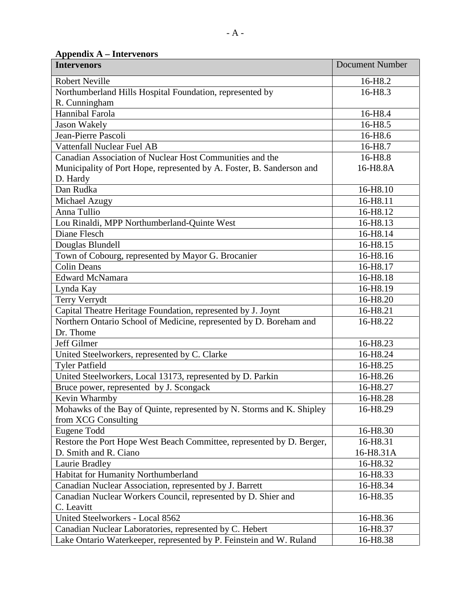<span id="page-50-0"></span> **Appendix A – Intervenors** 

| <b>Intervenors</b>                                                    | <b>Document Number</b> |
|-----------------------------------------------------------------------|------------------------|
| <b>Robert Neville</b>                                                 | 16-H <sub>8.2</sub>    |
| Northumberland Hills Hospital Foundation, represented by              | 16-H8.3                |
| R. Cunningham                                                         |                        |
| Hannibal Farola                                                       | 16-H8.4                |
| <b>Jason Wakely</b>                                                   | 16-H8.5                |
| Jean-Pierre Pascoli                                                   | 16-H <sub>8.6</sub>    |
| Vattenfall Nuclear Fuel AB                                            | 16-H <sub>8.7</sub>    |
| Canadian Association of Nuclear Host Communities and the              | 16-H8.8                |
| Municipality of Port Hope, represented by A. Foster, B. Sanderson and | 16-H8.8A               |
| D. Hardy                                                              |                        |
| Dan Rudka                                                             | 16-H8.10               |
| Michael Azugy                                                         | 16-H8.11               |
| Anna Tullio                                                           | 16-H8.12               |
| Lou Rinaldi, MPP Northumberland-Quinte West                           | 16-H8.13               |
| Diane Flesch                                                          | 16-H8.14               |
| Douglas Blundell                                                      | 16-H8.15               |
| Town of Cobourg, represented by Mayor G. Brocanier                    | 16-H8.16               |
| <b>Colin Deans</b>                                                    | 16-H8.17               |
| <b>Edward McNamara</b>                                                | 16-H8.18               |
| Lynda Kay                                                             | 16-H8.19               |
| <b>Terry Verrydt</b>                                                  | 16-H8.20               |
| Capital Theatre Heritage Foundation, represented by J. Joynt          | 16-H8.21               |
| Northern Ontario School of Medicine, represented by D. Boreham and    | 16-H8.22               |
| Dr. Thome                                                             |                        |
| Jeff Gilmer                                                           | 16-H8.23               |
| United Steelworkers, represented by C. Clarke                         | 16-H8.24               |
| <b>Tyler Patfield</b>                                                 | 16-H8.25               |
| United Steelworkers, Local 13173, represented by D. Parkin            | 16-H8.26               |
| Bruce power, represented by J. Scongack                               | 16-H8.27               |
| Kevin Wharmby                                                         | 16-H8.28               |
| Mohawks of the Bay of Quinte, represented by N. Storms and K. Shipley | 16-H8.29               |
| from XCG Consulting                                                   |                        |
| Eugene Todd                                                           | 16-H8.30               |
| Restore the Port Hope West Beach Committee, represented by D. Berger, | 16-H8.31               |
| D. Smith and R. Ciano                                                 | 16-H8.31A              |
| Laurie Bradley                                                        | 16-H8.32               |
| Habitat for Humanity Northumberland                                   | 16-H8.33               |
| Canadian Nuclear Association, represented by J. Barrett               | 16-H8.34               |
| Canadian Nuclear Workers Council, represented by D. Shier and         | 16-H8.35               |
| C. Leavitt                                                            |                        |
| United Steelworkers - Local 8562                                      | 16-H8.36               |
| Canadian Nuclear Laboratories, represented by C. Hebert               | 16-H8.37               |
| Lake Ontario Waterkeeper, represented by P. Feinstein and W. Ruland   | 16-H8.38               |